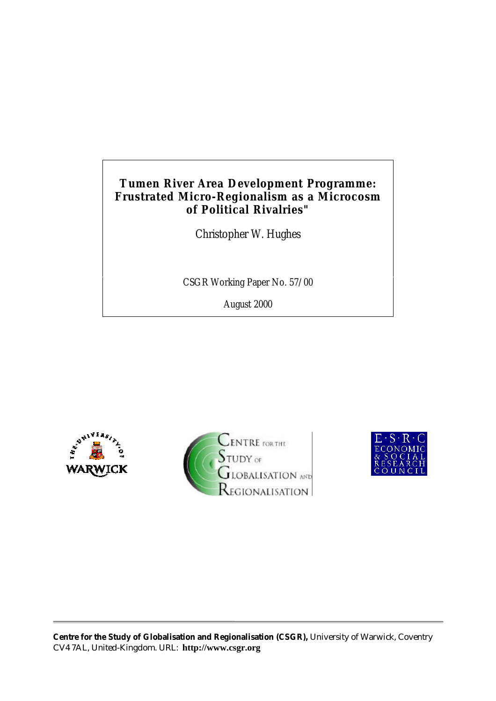# **Tumen River Area Development Programme: Frustrated Micro-Regionalism as a Microcosm of Political Rivalries"**

Christopher W. Hughes

CSGR Working Paper No. 57/00

August 2000





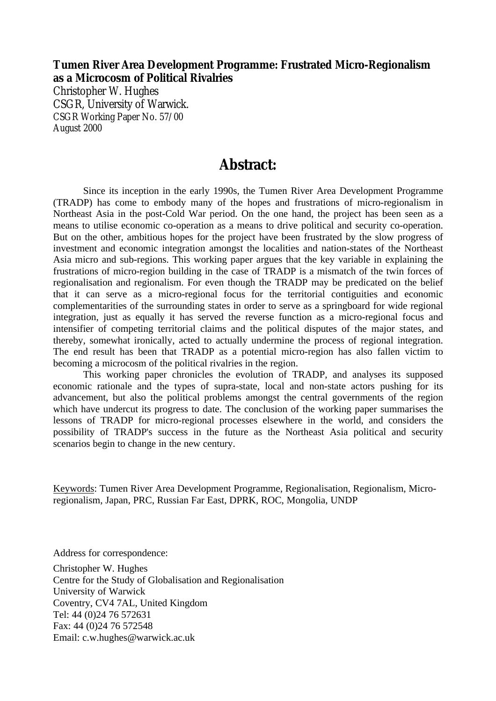## **Tumen River Area Development Programme: Frustrated Micro-Regionalism as a Microcosm of Political Rivalries**

Christopher W. Hughes CSGR, University of Warwick. CSGR Working Paper No. 57/00 August 2000

# **Abstract:**

Since its inception in the early 1990s, the Tumen River Area Development Programme (TRADP) has come to embody many of the hopes and frustrations of micro-regionalism in Northeast Asia in the post-Cold War period. On the one hand, the project has been seen as a means to utilise economic co-operation as a means to drive political and security co-operation. But on the other, ambitious hopes for the project have been frustrated by the slow progress of investment and economic integration amongst the localities and nation-states of the Northeast Asia micro and sub-regions. This working paper argues that the key variable in explaining the frustrations of micro-region building in the case of TRADP is a mismatch of the twin forces of regionalisation and regionalism. For even though the TRADP may be predicated on the belief that it can serve as a micro-regional focus for the territorial contiguities and economic complementarities of the surrounding states in order to serve as a springboard for wide regional integration, just as equally it has served the reverse function as a micro-regional focus and intensifier of competing territorial claims and the political disputes of the major states, and thereby, somewhat ironically, acted to actually undermine the process of regional integration. The end result has been that TRADP as a potential micro-region has also fallen victim to becoming a microcosm of the political rivalries in the region.

This working paper chronicles the evolution of TRADP, and analyses its supposed economic rationale and the types of supra-state, local and non-state actors pushing for its advancement, but also the political problems amongst the central governments of the region which have undercut its progress to date. The conclusion of the working paper summarises the lessons of TRADP for micro-regional processes elsewhere in the world, and considers the possibility of TRADP's success in the future as the Northeast Asia political and security scenarios begin to change in the new century.

Keywords: Tumen River Area Development Programme, Regionalisation, Regionalism, Microregionalism, Japan, PRC, Russian Far East, DPRK, ROC, Mongolia, UNDP

Address for correspondence:

Christopher W. Hughes Centre for the Study of Globalisation and Regionalisation University of Warwick Coventry, CV4 7AL, United Kingdom Tel: 44 (0)24 76 572631 Fax: 44 (0)24 76 572548 Email: c.w.hughes@warwick.ac.uk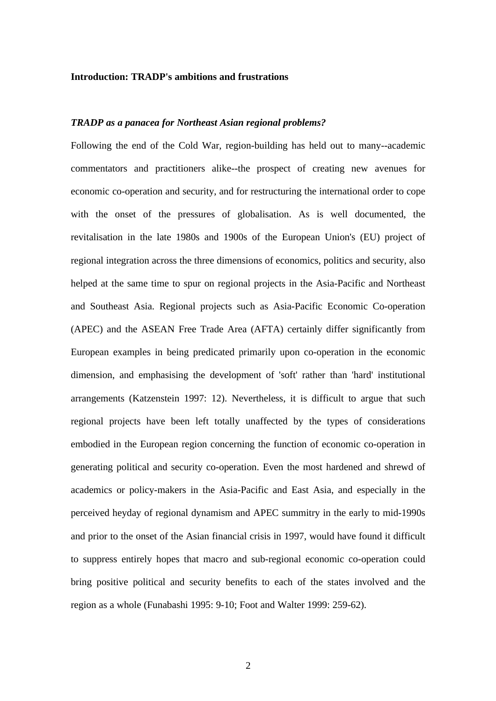#### **Introduction: TRADP's ambitions and frustrations**

## *TRADP as a panacea for Northeast Asian regional problems?*

Following the end of the Cold War, region-building has held out to many--academic commentators and practitioners alike--the prospect of creating new avenues for economic co-operation and security, and for restructuring the international order to cope with the onset of the pressures of globalisation. As is well documented, the revitalisation in the late 1980s and 1900s of the European Union's (EU) project of regional integration across the three dimensions of economics, politics and security, also helped at the same time to spur on regional projects in the Asia-Pacific and Northeast and Southeast Asia. Regional projects such as Asia-Pacific Economic Co-operation (APEC) and the ASEAN Free Trade Area (AFTA) certainly differ significantly from European examples in being predicated primarily upon co-operation in the economic dimension, and emphasising the development of 'soft' rather than 'hard' institutional arrangements (Katzenstein 1997: 12). Nevertheless, it is difficult to argue that such regional projects have been left totally unaffected by the types of considerations embodied in the European region concerning the function of economic co-operation in generating political and security co-operation. Even the most hardened and shrewd of academics or policy-makers in the Asia-Pacific and East Asia, and especially in the perceived heyday of regional dynamism and APEC summitry in the early to mid-1990s and prior to the onset of the Asian financial crisis in 1997, would have found it difficult to suppress entirely hopes that macro and sub-regional economic co-operation could bring positive political and security benefits to each of the states involved and the region as a whole (Funabashi 1995: 9-10; Foot and Walter 1999: 259-62).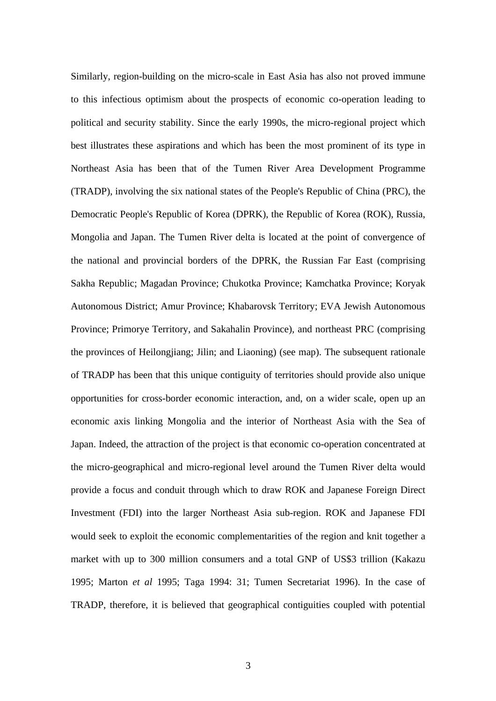Similarly, region-building on the micro-scale in East Asia has also not proved immune to this infectious optimism about the prospects of economic co-operation leading to political and security stability. Since the early 1990s, the micro-regional project which best illustrates these aspirations and which has been the most prominent of its type in Northeast Asia has been that of the Tumen River Area Development Programme (TRADP), involving the six national states of the People's Republic of China (PRC), the Democratic People's Republic of Korea (DPRK), the Republic of Korea (ROK), Russia, Mongolia and Japan. The Tumen River delta is located at the point of convergence of the national and provincial borders of the DPRK, the Russian Far East (comprising Sakha Republic; Magadan Province; Chukotka Province; Kamchatka Province; Koryak Autonomous District; Amur Province; Khabarovsk Territory; EVA Jewish Autonomous Province; Primorye Territory, and Sakahalin Province), and northeast PRC (comprising the provinces of Heilongjiang; Jilin; and Liaoning) (see map). The subsequent rationale of TRADP has been that this unique contiguity of territories should provide also unique opportunities for cross-border economic interaction, and, on a wider scale, open up an economic axis linking Mongolia and the interior of Northeast Asia with the Sea of Japan. Indeed, the attraction of the project is that economic co-operation concentrated at the micro-geographical and micro-regional level around the Tumen River delta would provide a focus and conduit through which to draw ROK and Japanese Foreign Direct Investment (FDI) into the larger Northeast Asia sub-region. ROK and Japanese FDI would seek to exploit the economic complementarities of the region and knit together a market with up to 300 million consumers and a total GNP of US\$3 trillion (Kakazu 1995; Marton *et al* 1995; Taga 1994: 31; Tumen Secretariat 1996). In the case of TRADP, therefore, it is believed that geographical contiguities coupled with potential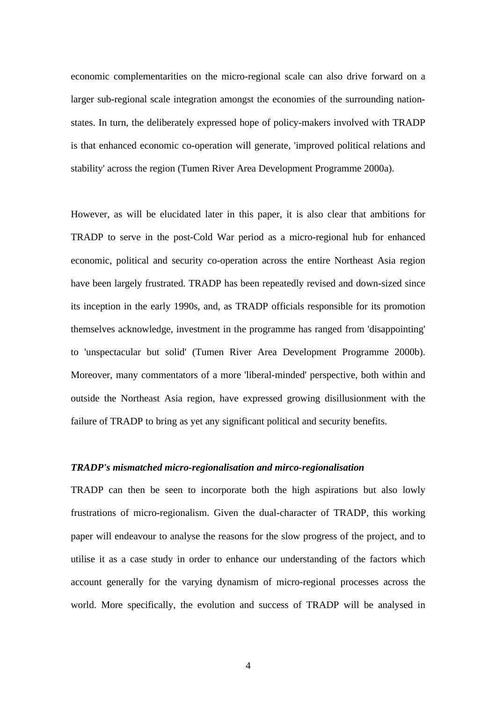economic complementarities on the micro-regional scale can also drive forward on a larger sub-regional scale integration amongst the economies of the surrounding nationstates. In turn, the deliberately expressed hope of policy-makers involved with TRADP is that enhanced economic co-operation will generate, 'improved political relations and stability' across the region (Tumen River Area Development Programme 2000a).

However, as will be elucidated later in this paper, it is also clear that ambitions for TRADP to serve in the post-Cold War period as a micro-regional hub for enhanced economic, political and security co-operation across the entire Northeast Asia region have been largely frustrated. TRADP has been repeatedly revised and down-sized since its inception in the early 1990s, and, as TRADP officials responsible for its promotion themselves acknowledge, investment in the programme has ranged from 'disappointing' to 'unspectacular but solid' (Tumen River Area Development Programme 2000b). Moreover, many commentators of a more 'liberal-minded' perspective, both within and outside the Northeast Asia region, have expressed growing disillusionment with the failure of TRADP to bring as yet any significant political and security benefits.

#### *TRADP's mismatched micro-regionalisation and mirco-regionalisation*

TRADP can then be seen to incorporate both the high aspirations but also lowly frustrations of micro-regionalism. Given the dual-character of TRADP, this working paper will endeavour to analyse the reasons for the slow progress of the project, and to utilise it as a case study in order to enhance our understanding of the factors which account generally for the varying dynamism of micro-regional processes across the world. More specifically, the evolution and success of TRADP will be analysed in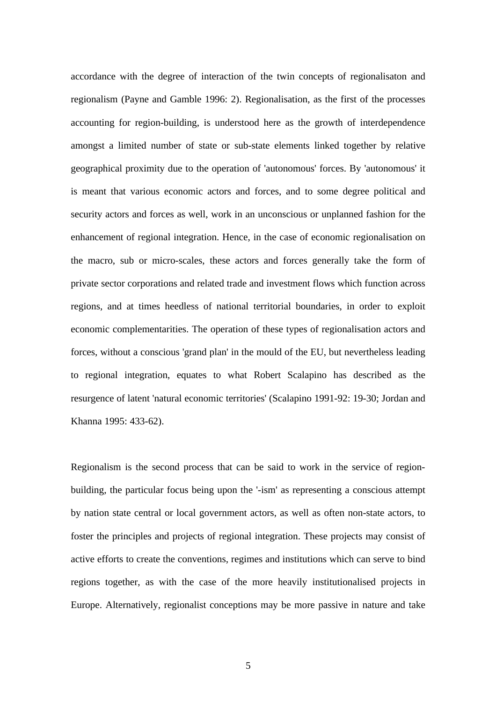accordance with the degree of interaction of the twin concepts of regionalisaton and regionalism (Payne and Gamble 1996: 2). Regionalisation, as the first of the processes accounting for region-building, is understood here as the growth of interdependence amongst a limited number of state or sub-state elements linked together by relative geographical proximity due to the operation of 'autonomous' forces. By 'autonomous' it is meant that various economic actors and forces, and to some degree political and security actors and forces as well, work in an unconscious or unplanned fashion for the enhancement of regional integration. Hence, in the case of economic regionalisation on the macro, sub or micro-scales, these actors and forces generally take the form of private sector corporations and related trade and investment flows which function across regions, and at times heedless of national territorial boundaries, in order to exploit economic complementarities. The operation of these types of regionalisation actors and forces, without a conscious 'grand plan' in the mould of the EU, but nevertheless leading to regional integration, equates to what Robert Scalapino has described as the resurgence of latent 'natural economic territories' (Scalapino 1991-92: 19-30; Jordan and Khanna 1995: 433-62).

Regionalism is the second process that can be said to work in the service of regionbuilding, the particular focus being upon the '-ism' as representing a conscious attempt by nation state central or local government actors, as well as often non-state actors, to foster the principles and projects of regional integration. These projects may consist of active efforts to create the conventions, regimes and institutions which can serve to bind regions together, as with the case of the more heavily institutionalised projects in Europe. Alternatively, regionalist conceptions may be more passive in nature and take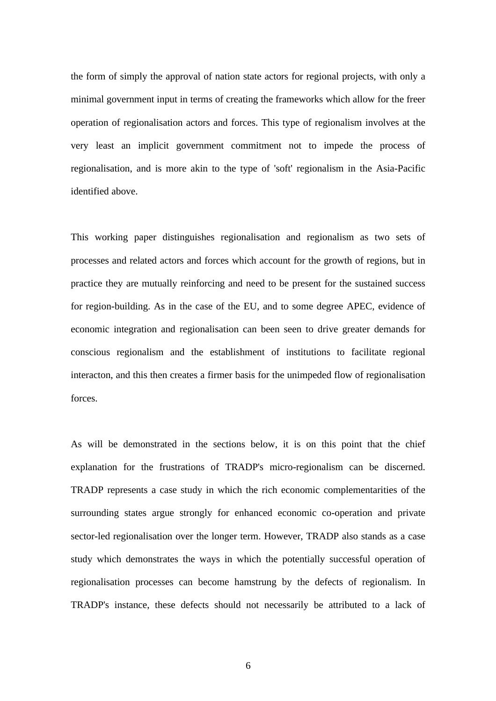the form of simply the approval of nation state actors for regional projects, with only a minimal government input in terms of creating the frameworks which allow for the freer operation of regionalisation actors and forces. This type of regionalism involves at the very least an implicit government commitment not to impede the process of regionalisation, and is more akin to the type of 'soft' regionalism in the Asia-Pacific identified above.

This working paper distinguishes regionalisation and regionalism as two sets of processes and related actors and forces which account for the growth of regions, but in practice they are mutually reinforcing and need to be present for the sustained success for region-building. As in the case of the EU, and to some degree APEC, evidence of economic integration and regionalisation can been seen to drive greater demands for conscious regionalism and the establishment of institutions to facilitate regional interacton, and this then creates a firmer basis for the unimpeded flow of regionalisation forces.

As will be demonstrated in the sections below, it is on this point that the chief explanation for the frustrations of TRADP's micro-regionalism can be discerned. TRADP represents a case study in which the rich economic complementarities of the surrounding states argue strongly for enhanced economic co-operation and private sector-led regionalisation over the longer term. However, TRADP also stands as a case study which demonstrates the ways in which the potentially successful operation of regionalisation processes can become hamstrung by the defects of regionalism. In TRADP's instance, these defects should not necessarily be attributed to a lack of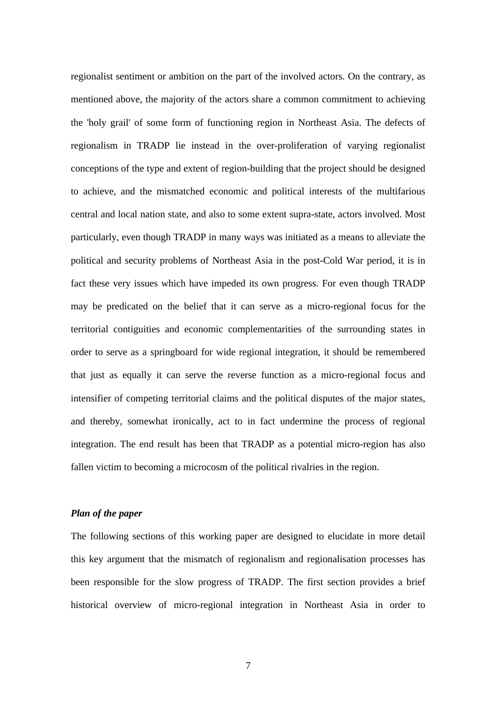regionalist sentiment or ambition on the part of the involved actors. On the contrary, as mentioned above, the majority of the actors share a common commitment to achieving the 'holy grail' of some form of functioning region in Northeast Asia. The defects of regionalism in TRADP lie instead in the over-proliferation of varying regionalist conceptions of the type and extent of region-building that the project should be designed to achieve, and the mismatched economic and political interests of the multifarious central and local nation state, and also to some extent supra-state, actors involved. Most particularly, even though TRADP in many ways was initiated as a means to alleviate the political and security problems of Northeast Asia in the post-Cold War period, it is in fact these very issues which have impeded its own progress. For even though TRADP may be predicated on the belief that it can serve as a micro-regional focus for the territorial contiguities and economic complementarities of the surrounding states in order to serve as a springboard for wide regional integration, it should be remembered that just as equally it can serve the reverse function as a micro-regional focus and intensifier of competing territorial claims and the political disputes of the major states, and thereby, somewhat ironically, act to in fact undermine the process of regional integration. The end result has been that TRADP as a potential micro-region has also fallen victim to becoming a microcosm of the political rivalries in the region.

## *Plan of the paper*

The following sections of this working paper are designed to elucidate in more detail this key argument that the mismatch of regionalism and regionalisation processes has been responsible for the slow progress of TRADP. The first section provides a brief historical overview of micro-regional integration in Northeast Asia in order to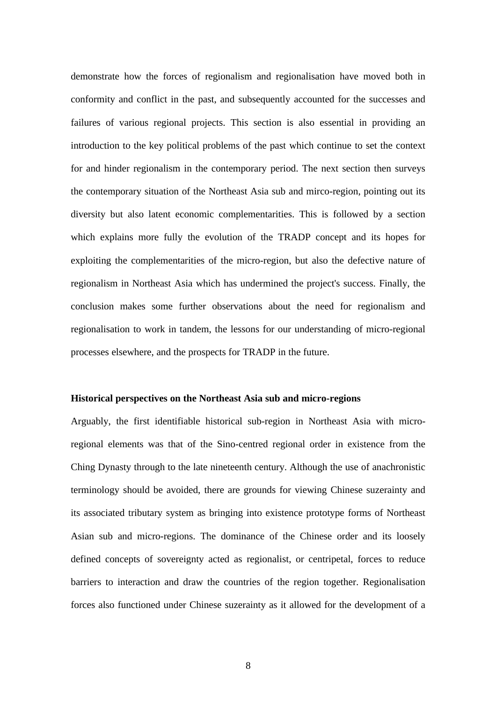demonstrate how the forces of regionalism and regionalisation have moved both in conformity and conflict in the past, and subsequently accounted for the successes and failures of various regional projects. This section is also essential in providing an introduction to the key political problems of the past which continue to set the context for and hinder regionalism in the contemporary period. The next section then surveys the contemporary situation of the Northeast Asia sub and mirco-region, pointing out its diversity but also latent economic complementarities. This is followed by a section which explains more fully the evolution of the TRADP concept and its hopes for exploiting the complementarities of the micro-region, but also the defective nature of regionalism in Northeast Asia which has undermined the project's success. Finally, the conclusion makes some further observations about the need for regionalism and regionalisation to work in tandem, the lessons for our understanding of micro-regional processes elsewhere, and the prospects for TRADP in the future.

## **Historical perspectives on the Northeast Asia sub and micro-regions**

Arguably, the first identifiable historical sub-region in Northeast Asia with microregional elements was that of the Sino-centred regional order in existence from the Ching Dynasty through to the late nineteenth century. Although the use of anachronistic terminology should be avoided, there are grounds for viewing Chinese suzerainty and its associated tributary system as bringing into existence prototype forms of Northeast Asian sub and micro-regions. The dominance of the Chinese order and its loosely defined concepts of sovereignty acted as regionalist, or centripetal, forces to reduce barriers to interaction and draw the countries of the region together. Regionalisation forces also functioned under Chinese suzerainty as it allowed for the development of a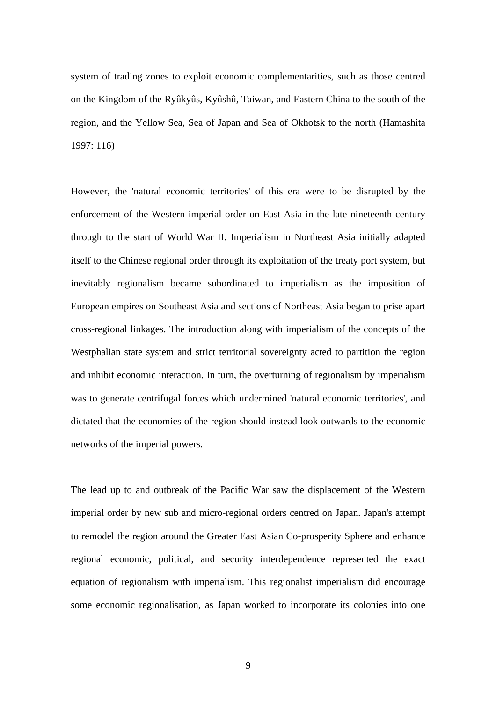system of trading zones to exploit economic complementarities, such as those centred on the Kingdom of the Ryûkyûs, Kyûshû, Taiwan, and Eastern China to the south of the region, and the Yellow Sea, Sea of Japan and Sea of Okhotsk to the north (Hamashita 1997: 116)

However, the 'natural economic territories' of this era were to be disrupted by the enforcement of the Western imperial order on East Asia in the late nineteenth century through to the start of World War II. Imperialism in Northeast Asia initially adapted itself to the Chinese regional order through its exploitation of the treaty port system, but inevitably regionalism became subordinated to imperialism as the imposition of European empires on Southeast Asia and sections of Northeast Asia began to prise apart cross-regional linkages. The introduction along with imperialism of the concepts of the Westphalian state system and strict territorial sovereignty acted to partition the region and inhibit economic interaction. In turn, the overturning of regionalism by imperialism was to generate centrifugal forces which undermined 'natural economic territories', and dictated that the economies of the region should instead look outwards to the economic networks of the imperial powers.

The lead up to and outbreak of the Pacific War saw the displacement of the Western imperial order by new sub and micro-regional orders centred on Japan. Japan's attempt to remodel the region around the Greater East Asian Co-prosperity Sphere and enhance regional economic, political, and security interdependence represented the exact equation of regionalism with imperialism. This regionalist imperialism did encourage some economic regionalisation, as Japan worked to incorporate its colonies into one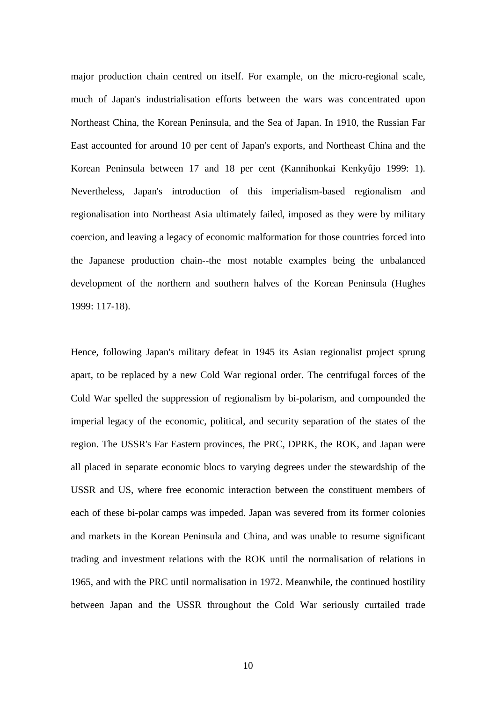major production chain centred on itself. For example, on the micro-regional scale, much of Japan's industrialisation efforts between the wars was concentrated upon Northeast China, the Korean Peninsula, and the Sea of Japan. In 1910, the Russian Far East accounted for around 10 per cent of Japan's exports, and Northeast China and the Korean Peninsula between 17 and 18 per cent (Kannihonkai Kenkyûjo 1999: 1). Nevertheless, Japan's introduction of this imperialism-based regionalism and regionalisation into Northeast Asia ultimately failed, imposed as they were by military coercion, and leaving a legacy of economic malformation for those countries forced into the Japanese production chain--the most notable examples being the unbalanced development of the northern and southern halves of the Korean Peninsula (Hughes 1999: 117-18).

Hence, following Japan's military defeat in 1945 its Asian regionalist project sprung apart, to be replaced by a new Cold War regional order. The centrifugal forces of the Cold War spelled the suppression of regionalism by bi-polarism, and compounded the imperial legacy of the economic, political, and security separation of the states of the region. The USSR's Far Eastern provinces, the PRC, DPRK, the ROK, and Japan were all placed in separate economic blocs to varying degrees under the stewardship of the USSR and US, where free economic interaction between the constituent members of each of these bi-polar camps was impeded. Japan was severed from its former colonies and markets in the Korean Peninsula and China, and was unable to resume significant trading and investment relations with the ROK until the normalisation of relations in 1965, and with the PRC until normalisation in 1972. Meanwhile, the continued hostility between Japan and the USSR throughout the Cold War seriously curtailed trade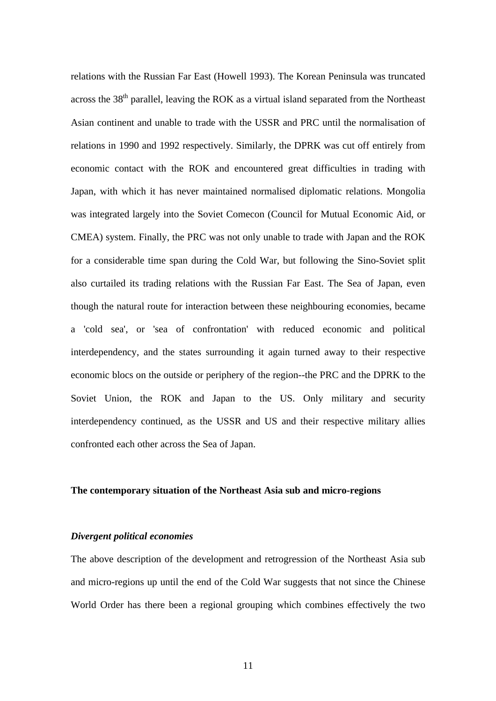relations with the Russian Far East (Howell 1993). The Korean Peninsula was truncated across the  $38<sup>th</sup>$  parallel, leaving the ROK as a virtual island separated from the Northeast Asian continent and unable to trade with the USSR and PRC until the normalisation of relations in 1990 and 1992 respectively. Similarly, the DPRK was cut off entirely from economic contact with the ROK and encountered great difficulties in trading with Japan, with which it has never maintained normalised diplomatic relations. Mongolia was integrated largely into the Soviet Comecon (Council for Mutual Economic Aid, or CMEA) system. Finally, the PRC was not only unable to trade with Japan and the ROK for a considerable time span during the Cold War, but following the Sino-Soviet split also curtailed its trading relations with the Russian Far East. The Sea of Japan, even though the natural route for interaction between these neighbouring economies, became a 'cold sea', or 'sea of confrontation' with reduced economic and political interdependency, and the states surrounding it again turned away to their respective economic blocs on the outside or periphery of the region--the PRC and the DPRK to the Soviet Union, the ROK and Japan to the US. Only military and security interdependency continued, as the USSR and US and their respective military allies confronted each other across the Sea of Japan.

### **The contemporary situation of the Northeast Asia sub and micro-regions**

### *Divergent political economies*

The above description of the development and retrogression of the Northeast Asia sub and micro-regions up until the end of the Cold War suggests that not since the Chinese World Order has there been a regional grouping which combines effectively the two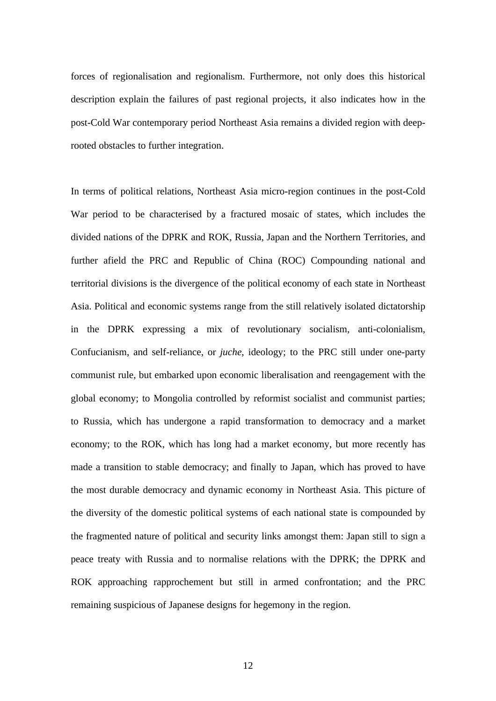forces of regionalisation and regionalism. Furthermore, not only does this historical description explain the failures of past regional projects, it also indicates how in the post-Cold War contemporary period Northeast Asia remains a divided region with deeprooted obstacles to further integration.

In terms of political relations, Northeast Asia micro-region continues in the post-Cold War period to be characterised by a fractured mosaic of states, which includes the divided nations of the DPRK and ROK, Russia, Japan and the Northern Territories, and further afield the PRC and Republic of China (ROC) Compounding national and territorial divisions is the divergence of the political economy of each state in Northeast Asia. Political and economic systems range from the still relatively isolated dictatorship in the DPRK expressing a mix of revolutionary socialism, anti-colonialism, Confucianism, and self-reliance, or *juche*, ideology; to the PRC still under one-party communist rule, but embarked upon economic liberalisation and reengagement with the global economy; to Mongolia controlled by reformist socialist and communist parties; to Russia, which has undergone a rapid transformation to democracy and a market economy; to the ROK, which has long had a market economy, but more recently has made a transition to stable democracy; and finally to Japan, which has proved to have the most durable democracy and dynamic economy in Northeast Asia. This picture of the diversity of the domestic political systems of each national state is compounded by the fragmented nature of political and security links amongst them: Japan still to sign a peace treaty with Russia and to normalise relations with the DPRK; the DPRK and ROK approaching rapprochement but still in armed confrontation; and the PRC remaining suspicious of Japanese designs for hegemony in the region.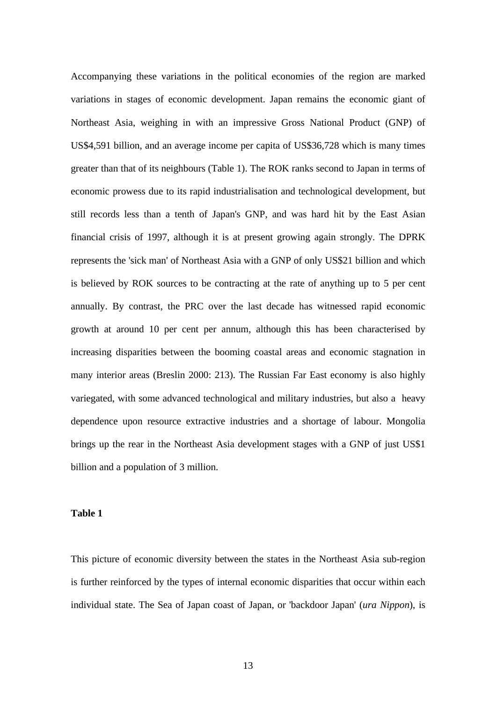Accompanying these variations in the political economies of the region are marked variations in stages of economic development. Japan remains the economic giant of Northeast Asia, weighing in with an impressive Gross National Product (GNP) of US\$4,591 billion, and an average income per capita of US\$36,728 which is many times greater than that of its neighbours (Table 1). The ROK ranks second to Japan in terms of economic prowess due to its rapid industrialisation and technological development, but still records less than a tenth of Japan's GNP, and was hard hit by the East Asian financial crisis of 1997, although it is at present growing again strongly. The DPRK represents the 'sick man' of Northeast Asia with a GNP of only US\$21 billion and which is believed by ROK sources to be contracting at the rate of anything up to 5 per cent annually. By contrast, the PRC over the last decade has witnessed rapid economic growth at around 10 per cent per annum, although this has been characterised by increasing disparities between the booming coastal areas and economic stagnation in many interior areas (Breslin 2000: 213). The Russian Far East economy is also highly variegated, with some advanced technological and military industries, but also a heavy dependence upon resource extractive industries and a shortage of labour. Mongolia brings up the rear in the Northeast Asia development stages with a GNP of just US\$1 billion and a population of 3 million.

#### **Table 1**

This picture of economic diversity between the states in the Northeast Asia sub-region is further reinforced by the types of internal economic disparities that occur within each individual state. The Sea of Japan coast of Japan, or 'backdoor Japan' (*ura Nippon*), is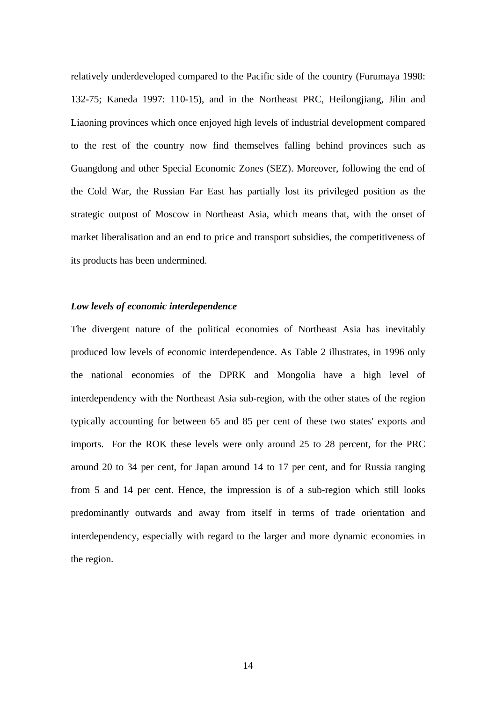relatively underdeveloped compared to the Pacific side of the country (Furumaya 1998: 132-75; Kaneda 1997: 110-15), and in the Northeast PRC, Heilongjiang, Jilin and Liaoning provinces which once enjoyed high levels of industrial development compared to the rest of the country now find themselves falling behind provinces such as Guangdong and other Special Economic Zones (SEZ). Moreover, following the end of the Cold War, the Russian Far East has partially lost its privileged position as the strategic outpost of Moscow in Northeast Asia, which means that, with the onset of market liberalisation and an end to price and transport subsidies, the competitiveness of its products has been undermined.

#### *Low levels of economic interdependence*

The divergent nature of the political economies of Northeast Asia has inevitably produced low levels of economic interdependence. As Table 2 illustrates, in 1996 only the national economies of the DPRK and Mongolia have a high level of interdependency with the Northeast Asia sub-region, with the other states of the region typically accounting for between 65 and 85 per cent of these two states' exports and imports. For the ROK these levels were only around 25 to 28 percent, for the PRC around 20 to 34 per cent, for Japan around 14 to 17 per cent, and for Russia ranging from 5 and 14 per cent. Hence, the impression is of a sub-region which still looks predominantly outwards and away from itself in terms of trade orientation and interdependency, especially with regard to the larger and more dynamic economies in the region.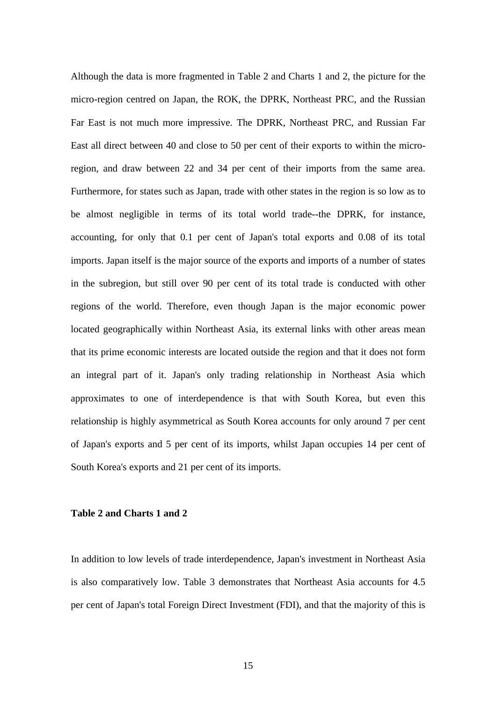Although the data is more fragmented in Table 2 and Charts 1 and 2, the picture for the micro-region centred on Japan, the ROK, the DPRK, Northeast PRC, and the Russian Far East is not much more impressive. The DPRK, Northeast PRC, and Russian Far East all direct between 40 and close to 50 per cent of their exports to within the microregion, and draw between 22 and 34 per cent of their imports from the same area. Furthermore, for states such as Japan, trade with other states in the region is so low as to be almost negligible in terms of its total world trade--the DPRK, for instance, accounting, for only that 0.1 per cent of Japan's total exports and 0.08 of its total imports. Japan itself is the major source of the exports and imports of a number of states in the subregion, but still over 90 per cent of its total trade is conducted with other regions of the world. Therefore, even though Japan is the major economic power located geographically within Northeast Asia, its external links with other areas mean that its prime economic interests are located outside the region and that it does not form an integral part of it. Japan's only trading relationship in Northeast Asia which approximates to one of interdependence is that with South Korea, but even this relationship is highly asymmetrical as South Korea accounts for only around 7 per cent of Japan's exports and 5 per cent of its imports, whilst Japan occupies 14 per cent of South Korea's exports and 21 per cent of its imports.

#### **Table 2 and Charts 1 and 2**

In addition to low levels of trade interdependence, Japan's investment in Northeast Asia is also comparatively low. Table 3 demonstrates that Northeast Asia accounts for 4.5 per cent of Japan's total Foreign Direct Investment (FDI), and that the majority of this is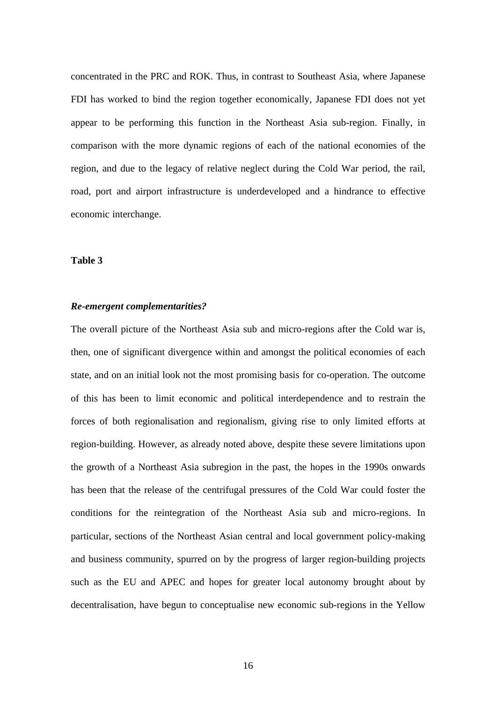concentrated in the PRC and ROK. Thus, in contrast to Southeast Asia, where Japanese FDI has worked to bind the region together economically, Japanese FDI does not yet appear to be performing this function in the Northeast Asia sub-region. Finally, in comparison with the more dynamic regions of each of the national economies of the region, and due to the legacy of relative neglect during the Cold War period, the rail, road, port and airport infrastructure is underdeveloped and a hindrance to effective economic interchange.

## **Table 3**

#### *Re-emergent complementarities?*

The overall picture of the Northeast Asia sub and micro-regions after the Cold war is, then, one of significant divergence within and amongst the political economies of each state, and on an initial look not the most promising basis for co-operation. The outcome of this has been to limit economic and political interdependence and to restrain the forces of both regionalisation and regionalism, giving rise to only limited efforts at region-building. However, as already noted above, despite these severe limitations upon the growth of a Northeast Asia subregion in the past, the hopes in the 1990s onwards has been that the release of the centrifugal pressures of the Cold War could foster the conditions for the reintegration of the Northeast Asia sub and micro-regions. In particular, sections of the Northeast Asian central and local government policy-making and business community, spurred on by the progress of larger region-building projects such as the EU and APEC and hopes for greater local autonomy brought about by decentralisation, have begun to conceptualise new economic sub-regions in the Yellow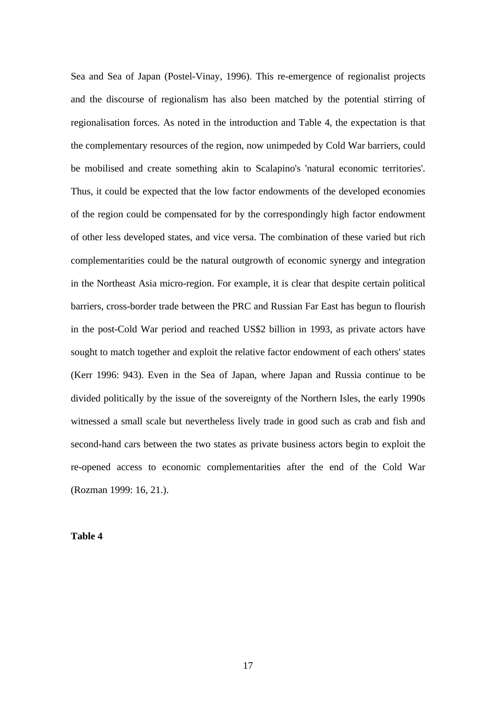Sea and Sea of Japan (Postel-Vinay, 1996). This re-emergence of regionalist projects and the discourse of regionalism has also been matched by the potential stirring of regionalisation forces. As noted in the introduction and Table 4, the expectation is that the complementary resources of the region, now unimpeded by Cold War barriers, could be mobilised and create something akin to Scalapino's 'natural economic territories'. Thus, it could be expected that the low factor endowments of the developed economies of the region could be compensated for by the correspondingly high factor endowment of other less developed states, and vice versa. The combination of these varied but rich complementarities could be the natural outgrowth of economic synergy and integration in the Northeast Asia micro-region. For example, it is clear that despite certain political barriers, cross-border trade between the PRC and Russian Far East has begun to flourish in the post-Cold War period and reached US\$2 billion in 1993, as private actors have sought to match together and exploit the relative factor endowment of each others' states (Kerr 1996: 943). Even in the Sea of Japan, where Japan and Russia continue to be divided politically by the issue of the sovereignty of the Northern Isles, the early 1990s witnessed a small scale but nevertheless lively trade in good such as crab and fish and second-hand cars between the two states as private business actors begin to exploit the re-opened access to economic complementarities after the end of the Cold War (Rozman 1999: 16, 21.).

**Table 4**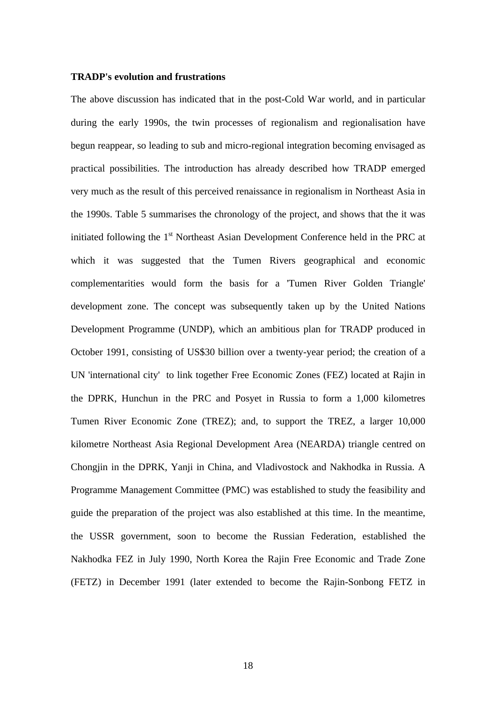#### **TRADP's evolution and frustrations**

The above discussion has indicated that in the post-Cold War world, and in particular during the early 1990s, the twin processes of regionalism and regionalisation have begun reappear, so leading to sub and micro-regional integration becoming envisaged as practical possibilities. The introduction has already described how TRADP emerged very much as the result of this perceived renaissance in regionalism in Northeast Asia in the 1990s. Table 5 summarises the chronology of the project, and shows that the it was initiated following the 1<sup>st</sup> Northeast Asian Development Conference held in the PRC at which it was suggested that the Tumen Rivers geographical and economic complementarities would form the basis for a 'Tumen River Golden Triangle' development zone. The concept was subsequently taken up by the United Nations Development Programme (UNDP), which an ambitious plan for TRADP produced in October 1991, consisting of US\$30 billion over a twenty-year period; the creation of a UN 'international city' to link together Free Economic Zones (FEZ) located at Rajin in the DPRK, Hunchun in the PRC and Posyet in Russia to form a 1,000 kilometres Tumen River Economic Zone (TREZ); and, to support the TREZ, a larger 10,000 kilometre Northeast Asia Regional Development Area (NEARDA) triangle centred on Chongjin in the DPRK, Yanji in China, and Vladivostock and Nakhodka in Russia. A Programme Management Committee (PMC) was established to study the feasibility and guide the preparation of the project was also established at this time. In the meantime, the USSR government, soon to become the Russian Federation, established the Nakhodka FEZ in July 1990, North Korea the Rajin Free Economic and Trade Zone (FETZ) in December 1991 (later extended to become the Rajin-Sonbong FETZ in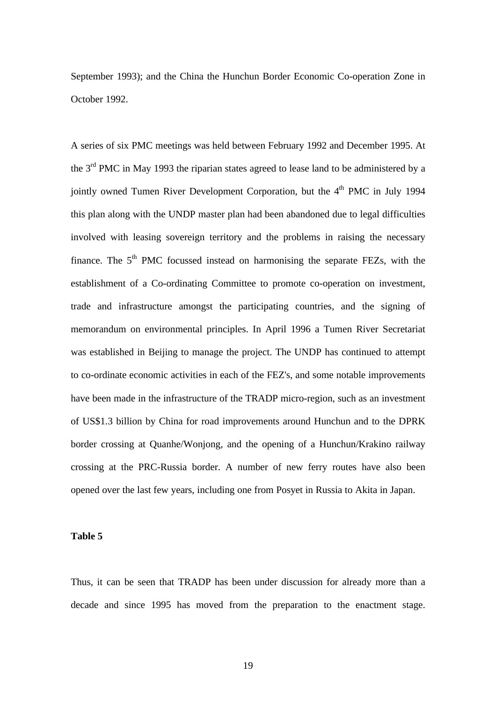September 1993); and the China the Hunchun Border Economic Co-operation Zone in October 1992.

A series of six PMC meetings was held between February 1992 and December 1995. At the  $3<sup>rd</sup>$  PMC in May 1993 the riparian states agreed to lease land to be administered by a jointly owned Tumen River Development Corporation, but the  $4<sup>th</sup>$  PMC in July 1994 this plan along with the UNDP master plan had been abandoned due to legal difficulties involved with leasing sovereign territory and the problems in raising the necessary finance. The  $5<sup>th</sup>$  PMC focussed instead on harmonising the separate FEZs, with the establishment of a Co-ordinating Committee to promote co-operation on investment, trade and infrastructure amongst the participating countries, and the signing of memorandum on environmental principles. In April 1996 a Tumen River Secretariat was established in Beijing to manage the project. The UNDP has continued to attempt to co-ordinate economic activities in each of the FEZ's, and some notable improvements have been made in the infrastructure of the TRADP micro-region, such as an investment of US\$1.3 billion by China for road improvements around Hunchun and to the DPRK border crossing at Quanhe/Wonjong, and the opening of a Hunchun/Krakino railway crossing at the PRC-Russia border. A number of new ferry routes have also been opened over the last few years, including one from Posyet in Russia to Akita in Japan.

## **Table 5**

Thus, it can be seen that TRADP has been under discussion for already more than a decade and since 1995 has moved from the preparation to the enactment stage.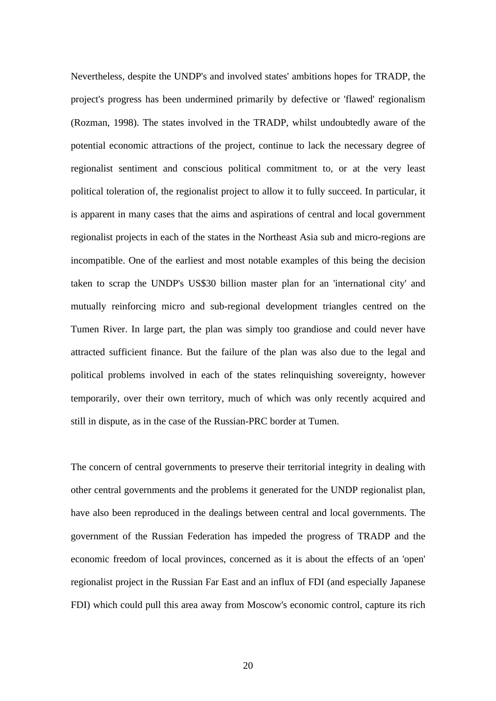Nevertheless, despite the UNDP's and involved states' ambitions hopes for TRADP, the project's progress has been undermined primarily by defective or 'flawed' regionalism (Rozman, 1998). The states involved in the TRADP, whilst undoubtedly aware of the potential economic attractions of the project, continue to lack the necessary degree of regionalist sentiment and conscious political commitment to, or at the very least political toleration of, the regionalist project to allow it to fully succeed. In particular, it is apparent in many cases that the aims and aspirations of central and local government regionalist projects in each of the states in the Northeast Asia sub and micro-regions are incompatible. One of the earliest and most notable examples of this being the decision taken to scrap the UNDP's US\$30 billion master plan for an 'international city' and mutually reinforcing micro and sub-regional development triangles centred on the Tumen River. In large part, the plan was simply too grandiose and could never have attracted sufficient finance. But the failure of the plan was also due to the legal and political problems involved in each of the states relinquishing sovereignty, however temporarily, over their own territory, much of which was only recently acquired and still in dispute, as in the case of the Russian-PRC border at Tumen.

The concern of central governments to preserve their territorial integrity in dealing with other central governments and the problems it generated for the UNDP regionalist plan, have also been reproduced in the dealings between central and local governments. The government of the Russian Federation has impeded the progress of TRADP and the economic freedom of local provinces, concerned as it is about the effects of an 'open' regionalist project in the Russian Far East and an influx of FDI (and especially Japanese FDI) which could pull this area away from Moscow's economic control, capture its rich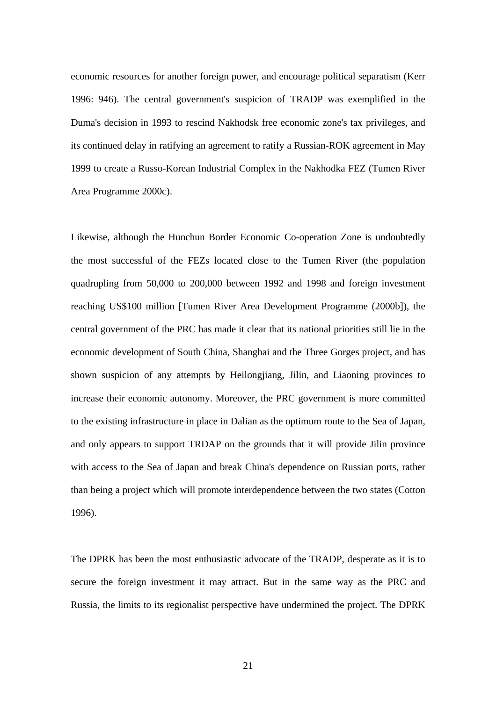economic resources for another foreign power, and encourage political separatism (Kerr 1996: 946). The central government's suspicion of TRADP was exemplified in the Duma's decision in 1993 to rescind Nakhodsk free economic zone's tax privileges, and its continued delay in ratifying an agreement to ratify a Russian-ROK agreement in May 1999 to create a Russo-Korean Industrial Complex in the Nakhodka FEZ (Tumen River Area Programme 2000c).

Likewise, although the Hunchun Border Economic Co-operation Zone is undoubtedly the most successful of the FEZs located close to the Tumen River (the population quadrupling from 50,000 to 200,000 between 1992 and 1998 and foreign investment reaching US\$100 million [Tumen River Area Development Programme (2000b]), the central government of the PRC has made it clear that its national priorities still lie in the economic development of South China, Shanghai and the Three Gorges project, and has shown suspicion of any attempts by Heilongjiang, Jilin, and Liaoning provinces to increase their economic autonomy. Moreover, the PRC government is more committed to the existing infrastructure in place in Dalian as the optimum route to the Sea of Japan, and only appears to support TRDAP on the grounds that it will provide Jilin province with access to the Sea of Japan and break China's dependence on Russian ports, rather than being a project which will promote interdependence between the two states (Cotton 1996).

The DPRK has been the most enthusiastic advocate of the TRADP, desperate as it is to secure the foreign investment it may attract. But in the same way as the PRC and Russia, the limits to its regionalist perspective have undermined the project. The DPRK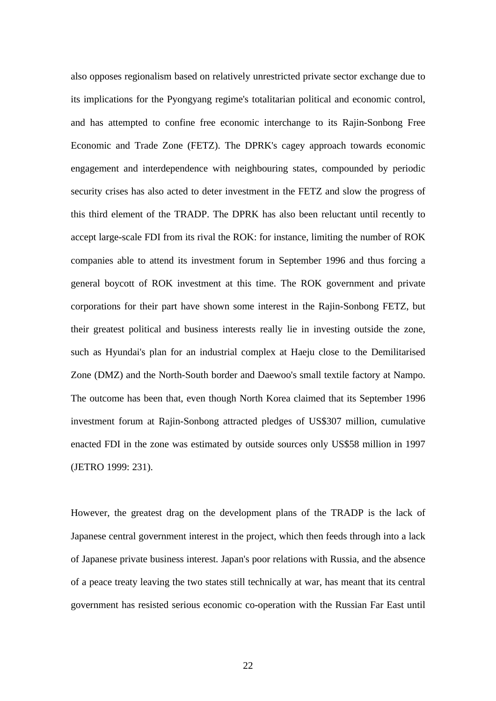also opposes regionalism based on relatively unrestricted private sector exchange due to its implications for the Pyongyang regime's totalitarian political and economic control, and has attempted to confine free economic interchange to its Rajin-Sonbong Free Economic and Trade Zone (FETZ). The DPRK's cagey approach towards economic engagement and interdependence with neighbouring states, compounded by periodic security crises has also acted to deter investment in the FETZ and slow the progress of this third element of the TRADP. The DPRK has also been reluctant until recently to accept large-scale FDI from its rival the ROK: for instance, limiting the number of ROK companies able to attend its investment forum in September 1996 and thus forcing a general boycott of ROK investment at this time. The ROK government and private corporations for their part have shown some interest in the Rajin-Sonbong FETZ, but their greatest political and business interests really lie in investing outside the zone, such as Hyundai's plan for an industrial complex at Haeju close to the Demilitarised Zone (DMZ) and the North-South border and Daewoo's small textile factory at Nampo. The outcome has been that, even though North Korea claimed that its September 1996 investment forum at Rajin-Sonbong attracted pledges of US\$307 million, cumulative enacted FDI in the zone was estimated by outside sources only US\$58 million in 1997 (JETRO 1999: 231).

However, the greatest drag on the development plans of the TRADP is the lack of Japanese central government interest in the project, which then feeds through into a lack of Japanese private business interest. Japan's poor relations with Russia, and the absence of a peace treaty leaving the two states still technically at war, has meant that its central government has resisted serious economic co-operation with the Russian Far East until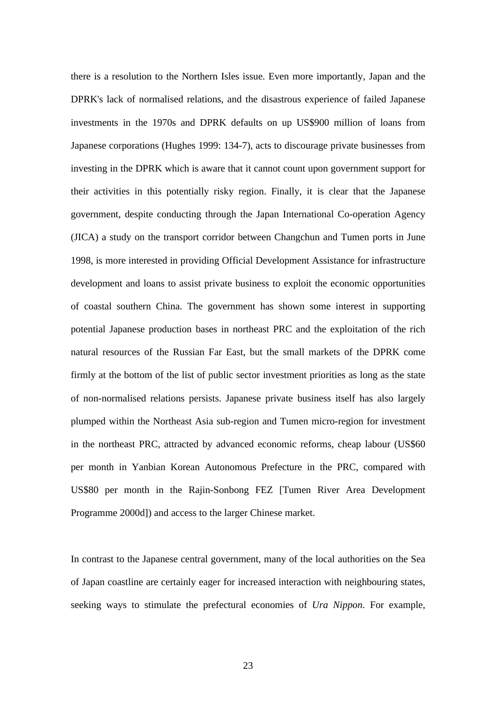there is a resolution to the Northern Isles issue. Even more importantly, Japan and the DPRK's lack of normalised relations, and the disastrous experience of failed Japanese investments in the 1970s and DPRK defaults on up US\$900 million of loans from Japanese corporations (Hughes 1999: 134-7), acts to discourage private businesses from investing in the DPRK which is aware that it cannot count upon government support for their activities in this potentially risky region. Finally, it is clear that the Japanese government, despite conducting through the Japan International Co-operation Agency (JICA) a study on the transport corridor between Changchun and Tumen ports in June 1998, is more interested in providing Official Development Assistance for infrastructure development and loans to assist private business to exploit the economic opportunities of coastal southern China. The government has shown some interest in supporting potential Japanese production bases in northeast PRC and the exploitation of the rich natural resources of the Russian Far East, but the small markets of the DPRK come firmly at the bottom of the list of public sector investment priorities as long as the state of non-normalised relations persists. Japanese private business itself has also largely plumped within the Northeast Asia sub-region and Tumen micro-region for investment in the northeast PRC, attracted by advanced economic reforms, cheap labour (US\$60 per month in Yanbian Korean Autonomous Prefecture in the PRC, compared with US\$80 per month in the Rajin-Sonbong FEZ [Tumen River Area Development Programme 2000d]) and access to the larger Chinese market.

In contrast to the Japanese central government, many of the local authorities on the Sea of Japan coastline are certainly eager for increased interaction with neighbouring states, seeking ways to stimulate the prefectural economies of *Ura Nippon*. For example,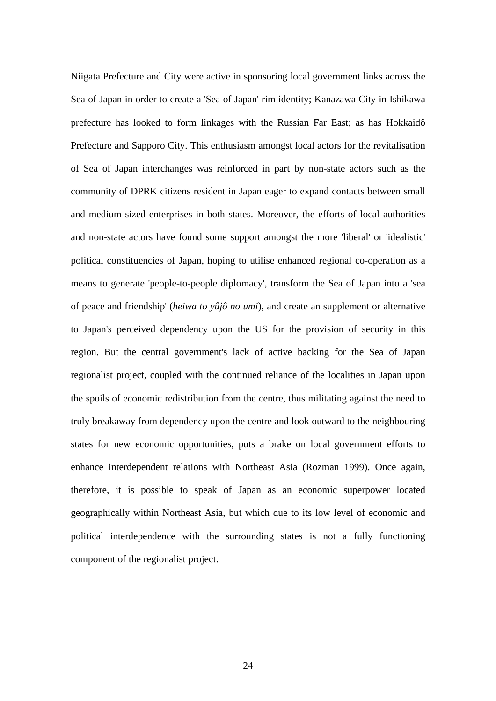Niigata Prefecture and City were active in sponsoring local government links across the Sea of Japan in order to create a 'Sea of Japan' rim identity; Kanazawa City in Ishikawa prefecture has looked to form linkages with the Russian Far East; as has Hokkaidô Prefecture and Sapporo City. This enthusiasm amongst local actors for the revitalisation of Sea of Japan interchanges was reinforced in part by non-state actors such as the community of DPRK citizens resident in Japan eager to expand contacts between small and medium sized enterprises in both states. Moreover, the efforts of local authorities and non-state actors have found some support amongst the more 'liberal' or 'idealistic' political constituencies of Japan, hoping to utilise enhanced regional co-operation as a means to generate 'people-to-people diplomacy', transform the Sea of Japan into a 'sea of peace and friendship' (*heiwa to yûjô no umi*), and create an supplement or alternative to Japan's perceived dependency upon the US for the provision of security in this region. But the central government's lack of active backing for the Sea of Japan regionalist project, coupled with the continued reliance of the localities in Japan upon the spoils of economic redistribution from the centre, thus militating against the need to truly breakaway from dependency upon the centre and look outward to the neighbouring states for new economic opportunities, puts a brake on local government efforts to enhance interdependent relations with Northeast Asia (Rozman 1999). Once again, therefore, it is possible to speak of Japan as an economic superpower located geographically within Northeast Asia, but which due to its low level of economic and political interdependence with the surrounding states is not a fully functioning component of the regionalist project.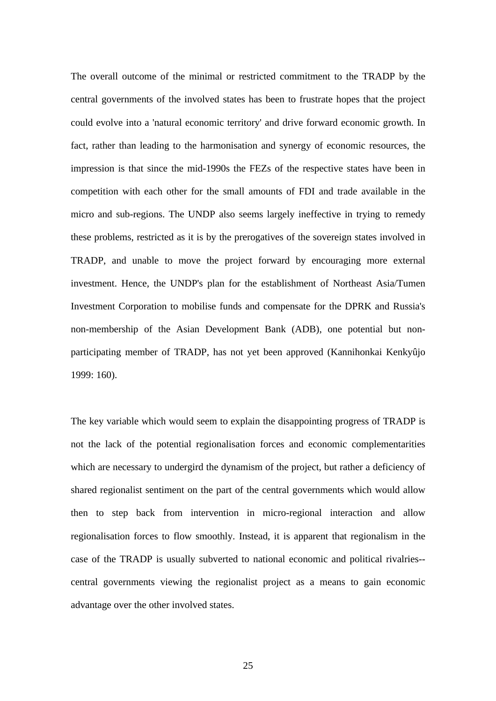The overall outcome of the minimal or restricted commitment to the TRADP by the central governments of the involved states has been to frustrate hopes that the project could evolve into a 'natural economic territory' and drive forward economic growth. In fact, rather than leading to the harmonisation and synergy of economic resources, the impression is that since the mid-1990s the FEZs of the respective states have been in competition with each other for the small amounts of FDI and trade available in the micro and sub-regions. The UNDP also seems largely ineffective in trying to remedy these problems, restricted as it is by the prerogatives of the sovereign states involved in TRADP, and unable to move the project forward by encouraging more external investment. Hence, the UNDP's plan for the establishment of Northeast Asia/Tumen Investment Corporation to mobilise funds and compensate for the DPRK and Russia's non-membership of the Asian Development Bank (ADB), one potential but nonparticipating member of TRADP, has not yet been approved (Kannihonkai Kenkyûjo 1999: 160).

The key variable which would seem to explain the disappointing progress of TRADP is not the lack of the potential regionalisation forces and economic complementarities which are necessary to undergird the dynamism of the project, but rather a deficiency of shared regionalist sentiment on the part of the central governments which would allow then to step back from intervention in micro-regional interaction and allow regionalisation forces to flow smoothly. Instead, it is apparent that regionalism in the case of the TRADP is usually subverted to national economic and political rivalries- central governments viewing the regionalist project as a means to gain economic advantage over the other involved states.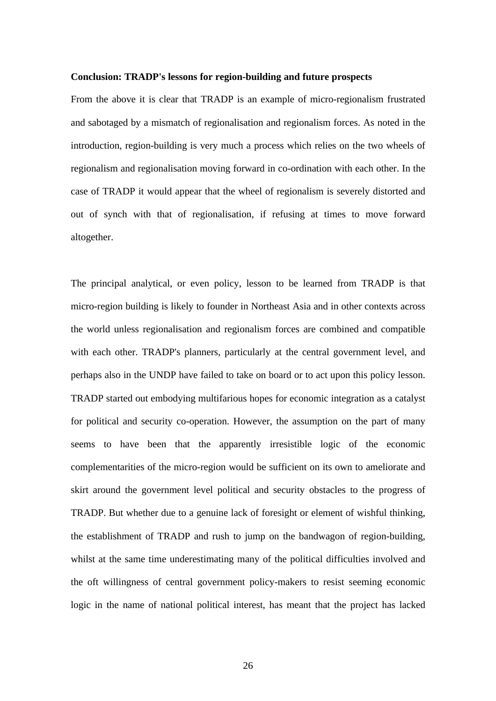#### **Conclusion: TRADP's lessons for region-building and future prospects**

From the above it is clear that TRADP is an example of micro-regionalism frustrated and sabotaged by a mismatch of regionalisation and regionalism forces. As noted in the introduction, region-building is very much a process which relies on the two wheels of regionalism and regionalisation moving forward in co-ordination with each other. In the case of TRADP it would appear that the wheel of regionalism is severely distorted and out of synch with that of regionalisation, if refusing at times to move forward altogether.

The principal analytical, or even policy, lesson to be learned from TRADP is that micro-region building is likely to founder in Northeast Asia and in other contexts across the world unless regionalisation and regionalism forces are combined and compatible with each other. TRADP's planners, particularly at the central government level, and perhaps also in the UNDP have failed to take on board or to act upon this policy lesson. TRADP started out embodying multifarious hopes for economic integration as a catalyst for political and security co-operation. However, the assumption on the part of many seems to have been that the apparently irresistible logic of the economic complementarities of the micro-region would be sufficient on its own to ameliorate and skirt around the government level political and security obstacles to the progress of TRADP. But whether due to a genuine lack of foresight or element of wishful thinking, the establishment of TRADP and rush to jump on the bandwagon of region-building, whilst at the same time underestimating many of the political difficulties involved and the oft willingness of central government policy-makers to resist seeming economic logic in the name of national political interest, has meant that the project has lacked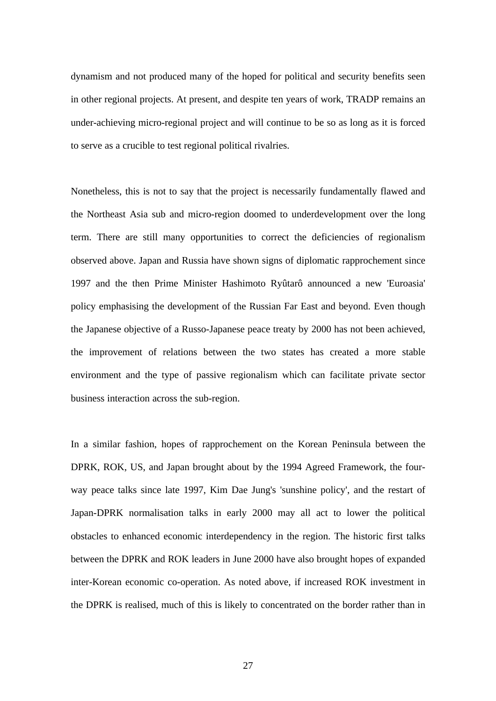dynamism and not produced many of the hoped for political and security benefits seen in other regional projects. At present, and despite ten years of work, TRADP remains an under-achieving micro-regional project and will continue to be so as long as it is forced to serve as a crucible to test regional political rivalries.

Nonetheless, this is not to say that the project is necessarily fundamentally flawed and the Northeast Asia sub and micro-region doomed to underdevelopment over the long term. There are still many opportunities to correct the deficiencies of regionalism observed above. Japan and Russia have shown signs of diplomatic rapprochement since 1997 and the then Prime Minister Hashimoto Ryûtarô announced a new 'Euroasia' policy emphasising the development of the Russian Far East and beyond. Even though the Japanese objective of a Russo-Japanese peace treaty by 2000 has not been achieved, the improvement of relations between the two states has created a more stable environment and the type of passive regionalism which can facilitate private sector business interaction across the sub-region.

In a similar fashion, hopes of rapprochement on the Korean Peninsula between the DPRK, ROK, US, and Japan brought about by the 1994 Agreed Framework, the fourway peace talks since late 1997, Kim Dae Jung's 'sunshine policy', and the restart of Japan-DPRK normalisation talks in early 2000 may all act to lower the political obstacles to enhanced economic interdependency in the region. The historic first talks between the DPRK and ROK leaders in June 2000 have also brought hopes of expanded inter-Korean economic co-operation. As noted above, if increased ROK investment in the DPRK is realised, much of this is likely to concentrated on the border rather than in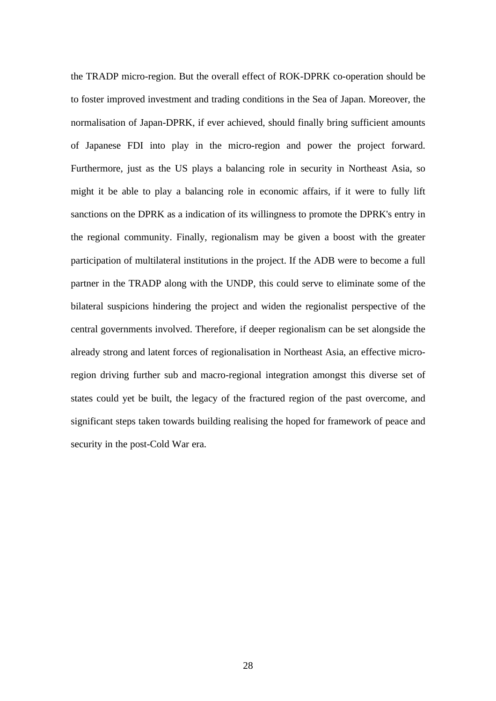the TRADP micro-region. But the overall effect of ROK-DPRK co-operation should be to foster improved investment and trading conditions in the Sea of Japan. Moreover, the normalisation of Japan-DPRK, if ever achieved, should finally bring sufficient amounts of Japanese FDI into play in the micro-region and power the project forward. Furthermore, just as the US plays a balancing role in security in Northeast Asia, so might it be able to play a balancing role in economic affairs, if it were to fully lift sanctions on the DPRK as a indication of its willingness to promote the DPRK's entry in the regional community. Finally, regionalism may be given a boost with the greater participation of multilateral institutions in the project. If the ADB were to become a full partner in the TRADP along with the UNDP, this could serve to eliminate some of the bilateral suspicions hindering the project and widen the regionalist perspective of the central governments involved. Therefore, if deeper regionalism can be set alongside the already strong and latent forces of regionalisation in Northeast Asia, an effective microregion driving further sub and macro-regional integration amongst this diverse set of states could yet be built, the legacy of the fractured region of the past overcome, and significant steps taken towards building realising the hoped for framework of peace and security in the post-Cold War era.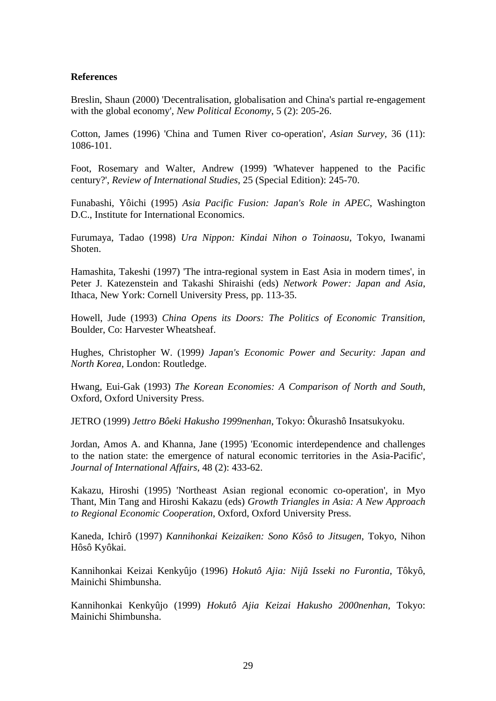## **References**

Breslin, Shaun (2000) 'Decentralisation, globalisation and China's partial re-engagement with the global economy', *New Political Economy*, 5 (2): 205-26.

Cotton, James (1996) 'China and Tumen River co-operation', *Asian Survey*, 36 (11): 1086-101.

Foot, Rosemary and Walter, Andrew (1999) 'Whatever happened to the Pacific century?', *Review of International Studies*, 25 (Special Edition): 245-70.

Funabashi, Yôichi (1995) *Asia Pacific Fusion: Japan's Role in APEC*, Washington D.C., Institute for International Economics.

Furumaya, Tadao (1998) *Ura Nippon: Kindai Nihon o Toinaosu*, Tokyo, Iwanami Shoten.

Hamashita, Takeshi (1997) 'The intra-regional system in East Asia in modern times', in Peter J. Katezenstein and Takashi Shiraishi (eds) *Network Power: Japan and Asia*, Ithaca, New York: Cornell University Press, pp. 113-35.

Howell, Jude (1993) *China Opens its Doors: The Politics of Economic Transition*, Boulder, Co: Harvester Wheatsheaf.

Hughes, Christopher W. (1999*) Japan's Economic Power and Security: Japan and North Korea*, London: Routledge.

Hwang, Eui-Gak (1993) *The Korean Economies: A Comparison of North and South*, Oxford, Oxford University Press.

JETRO (1999) *Jettro Bôeki Hakusho 1999nenhan*, Tokyo: Ôkurashô Insatsukyoku.

Jordan, Amos A. and Khanna, Jane (1995) 'Economic interdependence and challenges to the nation state: the emergence of natural economic territories in the Asia-Pacific', *Journal of International Affairs*, 48 (2): 433-62.

Kakazu, Hiroshi (1995) 'Northeast Asian regional economic co-operation', in Myo Thant, Min Tang and Hiroshi Kakazu (eds) *Growth Triangles in Asia: A New Approach to Regional Economic Cooperation*, Oxford, Oxford University Press.

Kaneda, Ichirô (1997) *Kannihonkai Keizaiken: Sono Kôsô to Jitsugen*, Tokyo, Nihon Hôsô Kyôkai.

Kannihonkai Keizai Kenkyûjo (1996) *Hokutô Ajia: Nijû Isseki no Furontia*, Tôkyô, Mainichi Shimbunsha.

Kannihonkai Kenkyûjo (1999) *Hokutô Ajia Keizai Hakusho 2000nenhan*, Tokyo: Mainichi Shimbunsha.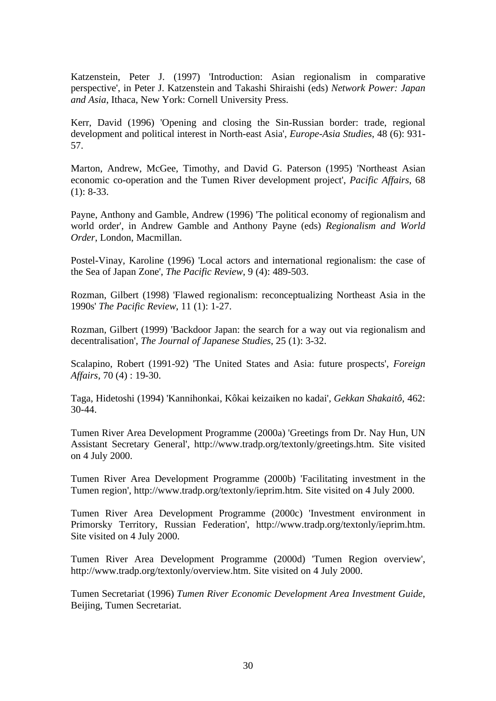Katzenstein, Peter J. (1997) 'Introduction: Asian regionalism in comparative perspective', in Peter J. Katzenstein and Takashi Shiraishi (eds) *Network Power: Japan and Asia*, Ithaca, New York: Cornell University Press.

Kerr, David (1996) 'Opening and closing the Sin-Russian border: trade, regional development and political interest in North-east Asia', *Europe-Asia Studies*, 48 (6): 931- 57.

Marton, Andrew, McGee, Timothy, and David G. Paterson (1995) 'Northeast Asian economic co-operation and the Tumen River development project', *Pacific Affairs*, 68  $(1): 8-33.$ 

Payne, Anthony and Gamble, Andrew (1996) 'The political economy of regionalism and world order', in Andrew Gamble and Anthony Payne (eds) *Regionalism and World Order*, London, Macmillan.

Postel-Vinay, Karoline (1996) 'Local actors and international regionalism: the case of the Sea of Japan Zone', *The Pacific Review*, 9 (4): 489-503.

Rozman, Gilbert (1998) 'Flawed regionalism: reconceptualizing Northeast Asia in the 1990s' *The Pacific Review*, 11 (1): 1-27.

Rozman, Gilbert (1999) 'Backdoor Japan: the search for a way out via regionalism and decentralisation', *The Journal of Japanese Studies*, 25 (1): 3-32.

Scalapino, Robert (1991-92) 'The United States and Asia: future prospects', *Foreign Affairs*, 70 (4) : 19-30.

Taga, Hidetoshi (1994) 'Kannihonkai, Kôkai keizaiken no kadai', *Gekkan Shakaitô*, 462: 30-44.

Tumen River Area Development Programme (2000a) 'Greetings from Dr. Nay Hun, UN Assistant Secretary General', http://www.tradp.org/textonly/greetings.htm. Site visited on 4 July 2000.

Tumen River Area Development Programme (2000b) 'Facilitating investment in the Tumen region', http://www.tradp.org/textonly/ieprim.htm. Site visited on 4 July 2000.

Tumen River Area Development Programme (2000c) 'Investment environment in Primorsky Territory, Russian Federation', http://www.tradp.org/textonly/ieprim.htm. Site visited on 4 July 2000.

Tumen River Area Development Programme (2000d) 'Tumen Region overview', http://www.tradp.org/textonly/overview.htm. Site visited on 4 July 2000.

Tumen Secretariat (1996) *Tumen River Economic Development Area Investment Guide*, Beijing, Tumen Secretariat.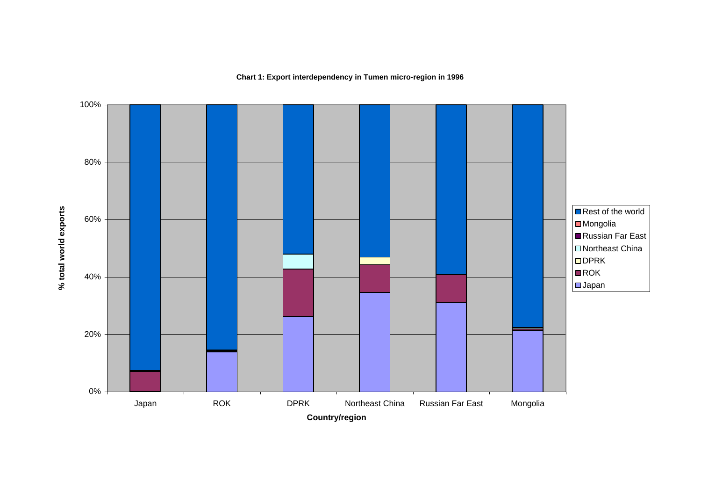## **Chart 1: Export interdependency in Tumen micro-region in 1996**

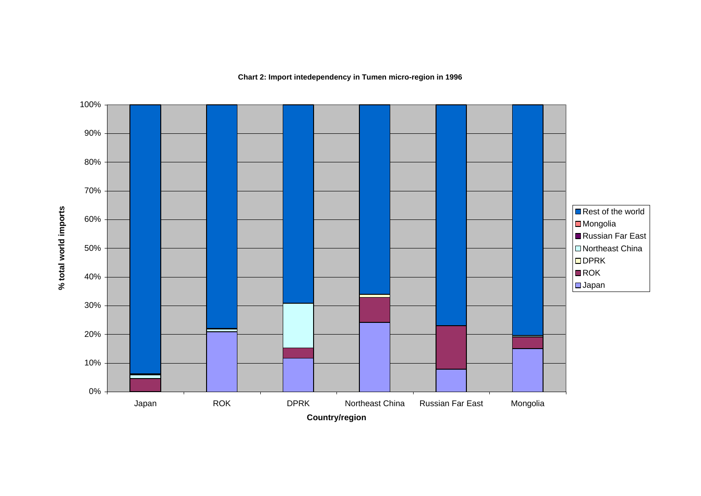## **Chart 2: Import intedependency in Tumen micro-region in 1996**

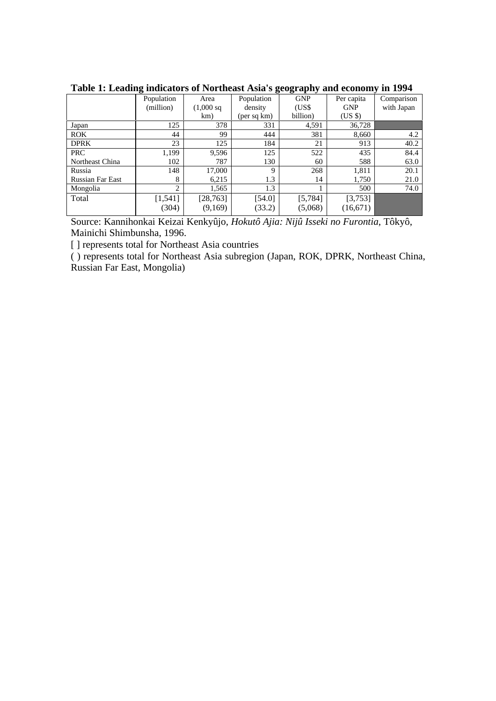|                         | 0              |                      | 0           | $\mathbf{\sigma}$<br>. . |            | $\overline{ }$ |
|-------------------------|----------------|----------------------|-------------|--------------------------|------------|----------------|
|                         | Population     | Area                 | Population  | <b>GNP</b>               | Per capita | Comparison     |
|                         | (million)      | $(1,000 \text{ sq})$ | density     | (USS)                    | <b>GNP</b> | with Japan     |
|                         |                | km)                  | (per sq km) | billion)                 | $(US \$    |                |
| Japan                   | 125            | 378                  | 331         | 4,591                    | 36,728     |                |
| <b>ROK</b>              | 44             | 99                   | 444         | 381                      | 8,660      | 4.2            |
| <b>DPRK</b>             | 23             | 125                  | 184         | 21                       | 913        | 40.2           |
| PRC                     | 1,199          | 9,596                | 125         | 522                      | 435        | 84.4           |
| Northeast China         | 102            | 787                  | 130         | 60                       | 588        | 63.0           |
| Russia                  | 148            | 17,000               | 9           | 268                      | 1,811      | 20.1           |
| <b>Russian Far East</b> | 8              | 6,215                | 1.3         | 14                       | 1,750      | 21.0           |
| Mongolia                | $\overline{c}$ | 1,565                | 1.3         |                          | 500        | 74.0           |
| Total                   | [1, 541]       | [28, 763]            | $[54.0]$    | [5, 784]                 | [3,753]    |                |
|                         | (304)          | (9,169)              | (33.2)      | (5,068)                  | (16, 671)  |                |
|                         |                |                      |             |                          |            |                |

**Table 1: Leading indicators of Northeast Asia's geography and economy in 1994**

Source: Kannihonkai Keizai Kenkyûjo, *Hokutô Ajia: Nijû Isseki no Furontia*, Tôkyô, Mainichi Shimbunsha, 1996.

[ ] represents total for Northeast Asia countries

( ) represents total for Northeast Asia subregion (Japan, ROK, DPRK, Northeast China, Russian Far East, Mongolia)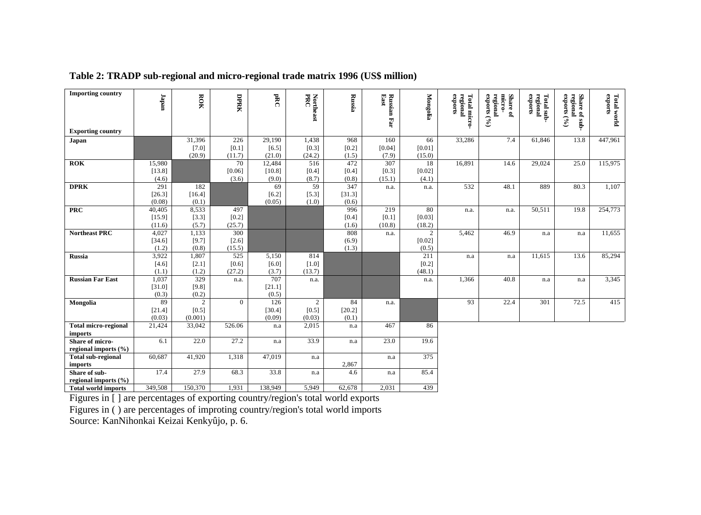| <b>Importing country</b>                               | $\mathbf{u}$    | ROK               | DPRK            | PRC                   | Northeast<br>PRC | Russia         | Russian Far<br>East | Mongolia         | regional<br>Total micro-<br>exports | micro-<br>Share of<br>regional<br>exports (%) | regional<br>exports<br>Total sub | regional<br>exports (<br>Share of sub- | <b>Total world</b><br>exports |
|--------------------------------------------------------|-----------------|-------------------|-----------------|-----------------------|------------------|----------------|---------------------|------------------|-------------------------------------|-----------------------------------------------|----------------------------------|----------------------------------------|-------------------------------|
|                                                        |                 |                   |                 |                       |                  |                |                     |                  |                                     |                                               |                                  | $\mathcal{S}$                          |                               |
| <b>Exporting country</b>                               |                 |                   |                 |                       |                  |                |                     |                  |                                     |                                               |                                  |                                        |                               |
| Japan                                                  |                 | 31,396            | 226             | 29,190                | 1,438            | 968            | 160                 | 66               | 33,286                              | 7.4                                           | 61,846                           | 13.8                                   | 447,961                       |
|                                                        |                 | $[7.0]$<br>(20.9) | [0.1]<br>(11.7) | [6.5]<br>(21.0)       | [0.3]<br>(24.2)  | [0.2]<br>(1.5) | [0.04]<br>(7.9)     | [0.01]<br>(15.0) |                                     |                                               |                                  |                                        |                               |
| <b>ROK</b>                                             | 15,980          |                   | 70              | 12,484                | 516              | 472            | 307                 | 18               | 16,891                              | 14.6                                          | 29,024                           | 25.0                                   | 115,975                       |
|                                                        | [13.8]          |                   | [0.06]          | [10.8]                | [0.4]            | $[0.4]$        | [0.3]               | [0.02]           |                                     |                                               |                                  |                                        |                               |
| <b>DPRK</b>                                            | (4.6)<br>291    | 182               | (3.6)           | (9.0)<br>69           | (8.7)<br>59      | (0.8)<br>347   | (15.1)              | (4.1)            | 532                                 |                                               | 889                              |                                        |                               |
|                                                        | [26.3]          | [16.4]            |                 | [6.2]                 | [5.3]            | [31.3]         | n.a.                | n.a.             |                                     | 48.1                                          |                                  | 80.3                                   | 1,107                         |
|                                                        | (0.08)          | (0.1)             |                 | (0.05)                | (1.0)            | (0.6)          |                     |                  |                                     |                                               |                                  |                                        |                               |
| <b>PRC</b>                                             | 40,405          | 8,533             | 497             |                       |                  | 996            | 219                 | 80               | n.a.                                | n.a.                                          | 50,511                           | 19.8                                   | 254,773                       |
|                                                        | [15.9]          | [3.3]             | $[0.2]$         |                       |                  | [0.4]          | $[0.1]$             | [0.03]           |                                     |                                               |                                  |                                        |                               |
|                                                        | (11.6)          | (5.7)             | (25.7)          |                       |                  | (1.6)          | (10.8)              | (18.2)           |                                     |                                               |                                  |                                        |                               |
| <b>Northeast PRC</b>                                   | 4,027<br>[34.6] | 1,133<br>[9.7]    | 300<br>[2.6]    |                       |                  | 808<br>(6.9)   | n.a.                | 2<br>[0.02]      | 5,462                               | 46.9                                          | n.a                              | n.a                                    | 11,655                        |
|                                                        | (1.2)           | (0.8)             | (15.5)          |                       |                  | (1.3)          |                     | (0.5)            |                                     |                                               |                                  |                                        |                               |
| Russia                                                 | 3,922           | 1,807             | 525             | 5,150                 | 814              |                |                     | 211              | n.a                                 | n.a                                           | 11,615                           | 13.6                                   | 85,294                        |
|                                                        | [4.6]           | [2.1]             | [0.6]           | $[6.0]$               | $[1.0]$          |                |                     | [0.2]            |                                     |                                               |                                  |                                        |                               |
|                                                        | (1.1)           | (1.2)             | (27.2)          | (3.7)                 | (13.7)           |                |                     | (48.1)           |                                     |                                               |                                  |                                        |                               |
| <b>Russian Far East</b>                                | 1,037           | 329               | n.a.            | 707                   | n.a.             |                |                     | n.a.             | 1,366                               | 40.8                                          | n.a                              | n.a                                    | 3,345                         |
|                                                        | [31.0]<br>(0.3) | [9.8]<br>(0.2)    |                 | [21.1]<br>(0.5)       |                  |                |                     |                  |                                     |                                               |                                  |                                        |                               |
| Mongolia                                               | 89              | $\overline{2}$    | $\Omega$        | 126                   | 2                | 84             | n.a.                |                  | 93                                  | 22.4                                          | 301                              | 72.5                                   | 415                           |
|                                                        | [21.4]          | [0.5]             |                 | [30.4]                | [0.5]            | [20.2]         |                     |                  |                                     |                                               |                                  |                                        |                               |
|                                                        | (0.03)          | (0.001)           |                 | (0.09)                | (0.03)           | (0.1)          |                     |                  |                                     |                                               |                                  |                                        |                               |
| <b>Total micro-regional</b>                            | 21,424          | 33,042            | 526.06          | n.a                   | 2,015            | n.a            | 467                 | 86               |                                     |                                               |                                  |                                        |                               |
| imports                                                |                 |                   |                 |                       |                  |                |                     |                  |                                     |                                               |                                  |                                        |                               |
| Share of micro-<br>regional imports $(\% )$            | 6.1             | 22.0              | 27.2            | n.a                   | 33.9             | n.a            | 23.0                | 19.6             |                                     |                                               |                                  |                                        |                               |
| <b>Total sub-regional</b>                              | 60,687          | 41,920            | 1,318           | 47,019                | n.a              |                | n.a                 | 375              |                                     |                                               |                                  |                                        |                               |
| imports                                                |                 |                   |                 |                       |                  | 2,867          |                     |                  |                                     |                                               |                                  |                                        |                               |
| Share of sub-                                          | 17.4            | 27.9              | 68.3            | 33.8                  | n.a              | 4.6            | n.a                 | 85.4             |                                     |                                               |                                  |                                        |                               |
| regional imports (%)                                   |                 |                   |                 |                       |                  |                |                     |                  |                                     |                                               |                                  |                                        |                               |
| <b>Total world imports</b><br>$\cdots$<br>$\mathbf{r}$ | 349,508         | 150,370<br>$\sim$ | 1,931<br>$\sim$ | 138,949<br>$\sqrt{ }$ | 5,949            | 62,678<br>11   | 2,031               | 439              |                                     |                                               |                                  |                                        |                               |

**Table 2: TRADP sub-regional and micro-regional trade matrix 1996 (US\$ million)**

Figures in [ ] are percentages of exporting country/region's total world exports Figures in ( ) are percentages of improting country/region's total world imports Source: KanNihonkai Keizai Kenkyûjo, p. 6.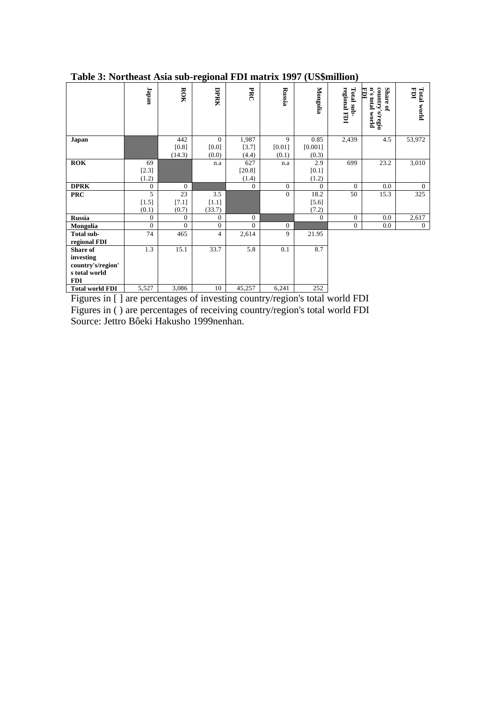|                                                                           | <b>Japan</b>           | ROK                    | DPRK                       | PRC                     | Russia               | Mongolia                 | regional FDI<br>Total sub- | country's/regio<br>n's total world<br>Share of<br>EDI | EDI<br><b>Total world</b> |
|---------------------------------------------------------------------------|------------------------|------------------------|----------------------------|-------------------------|----------------------|--------------------------|----------------------------|-------------------------------------------------------|---------------------------|
| Japan                                                                     |                        | 442<br>[0.8]<br>(14.3) | $\Omega$<br>[0.0]<br>(0.0) | 1,987<br>[3.7]<br>(4.4) | 9<br>[0.01]<br>(0.1) | 0.85<br>[0.001]<br>(0.3) | 2,439                      | 4.5                                                   | 53,972                    |
| <b>ROK</b>                                                                | 69<br>$[2.3]$<br>(1.2) |                        | n.a                        | 627<br>[20.8]<br>(1.4)  | n.a                  | 2.9<br>$[0.1]$<br>(1.2)  | 699                        | 23.2                                                  | 3,010                     |
| <b>DPRK</b>                                                               | $\overline{0}$         | $\theta$               |                            | $\overline{0}$          | $\overline{0}$       | $\Omega$                 | $\Omega$                   | 0.0                                                   | $\theta$                  |
| <b>PRC</b>                                                                | 5<br>$[1.5]$<br>(0.1)  | 23<br>[7.1]<br>(0.7)   | 3.5<br>$[1.1]$<br>(33.7)   |                         | $\theta$             | 18.2<br>$[5.6]$<br>(7.2) | 50                         | 15.3                                                  | $\overline{325}$          |
| <b>Russia</b>                                                             | $\overline{0}$         | $\overline{0}$         | $\Omega$                   | $\overline{0}$          |                      | $\Omega$                 | $\mathbf{0}$               | 0.0                                                   | 2,617                     |
| Mongolia                                                                  | $\theta$               | $\Omega$               | $\Omega$                   | $\Omega$                | $\theta$             |                          | $\mathbf{0}$               | 0.0                                                   | $\overline{0}$            |
| Total sub-<br>regional FDI                                                | 74                     | 465                    | $\overline{4}$             | 2,614                   | 9                    | 21.95                    |                            |                                                       |                           |
| Share of<br>investing<br>country's/region'<br>s total world<br><b>FDI</b> | 1.3                    | 15.1                   | 33.7                       | 5.8                     | 0.1                  | 8.7                      |                            |                                                       |                           |
| <b>Total world FDI</b>                                                    | 5,527                  | 3,086                  | 10                         | 45,257                  | 6,241                | 252                      |                            |                                                       |                           |

## **Table 3: Northeast Asia sub-regional FDI matrix 1997 (US\$million)**

Figures in [ ] are percentages of investing country/region's total world FDI Figures in ( ) are percentages of receiving country/region's total world FDI Source: Jettro Bôeki Hakusho 1999nenhan.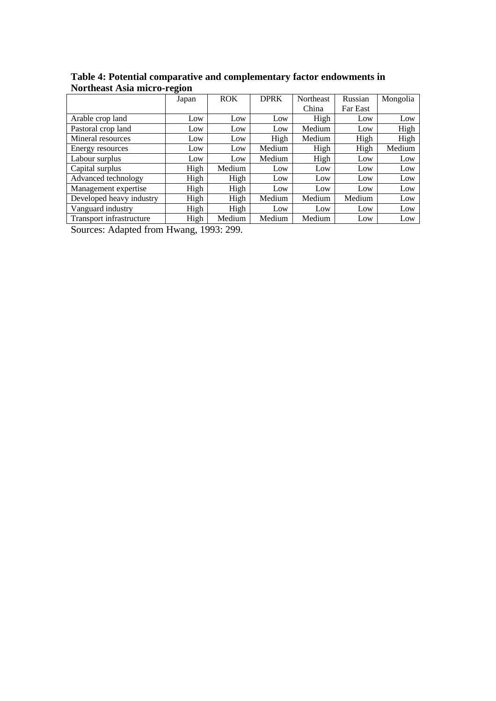|                          | Japan | <b>ROK</b> | <b>DPRK</b> | Northeast | Russian  | Mongolia |
|--------------------------|-------|------------|-------------|-----------|----------|----------|
|                          |       |            |             | China     | Far East |          |
| Arable crop land         | Low   | Low        | Low         | High      | Low      | Low      |
| Pastoral crop land       | Low   | Low        | Low         | Medium    | Low      | High     |
| Mineral resources        | Low   | Low        | High        | Medium    | High     | High     |
| Energy resources         | Low   | Low        | Medium      | High      | High     | Medium   |
| Labour surplus           | Low   | Low        | Medium      | High      | Low      | Low      |
| Capital surplus          | High  | Medium     | Low         | Low       | Low      | Low      |
| Advanced technology      | High  | High       | Low         | Low       | Low      | Low      |
| Management expertise     | High  | High       | Low         | Low       | Low      | Low      |
| Developed heavy industry | High  | High       | Medium      | Medium    | Medium   | Low      |
| Vanguard industry        | High  | High       | Low         | Low       | Low      | Low      |
| Transport infrastructure | High  | Medium     | Medium      | Medium    | Low      | Low      |

**Table 4: Potential comparative and complementary factor endowments in Northeast Asia micro-region**

Sources: Adapted from Hwang, 1993: 299.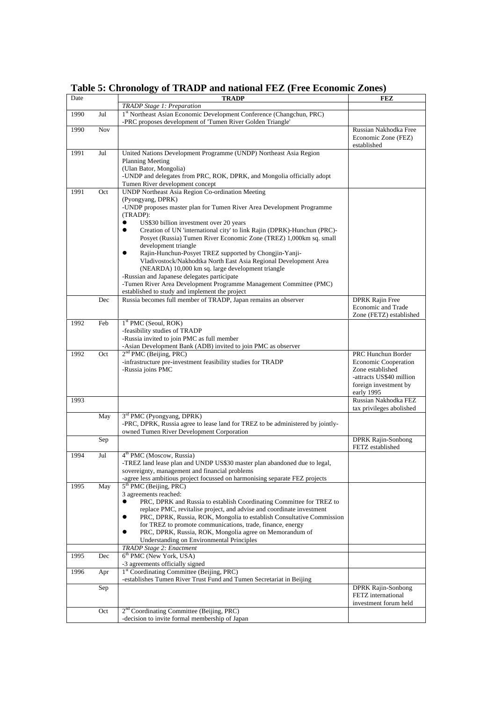| Date |            | <b>TRADP</b>                                                                                                                                                | FEZ                                                                                                                        |
|------|------------|-------------------------------------------------------------------------------------------------------------------------------------------------------------|----------------------------------------------------------------------------------------------------------------------------|
|      |            | <b>TRADP</b> Stage 1: Preparation                                                                                                                           |                                                                                                                            |
| 1990 | Jul        | 1st Northeast Asian Economic Development Conference (Changchun, PRC)<br>-PRC proposes development of 'Tumen River Golden Triangle'                          |                                                                                                                            |
| 1990 | <b>Nov</b> |                                                                                                                                                             | Russian Nakhodka Free<br>Economic Zone (FEZ)<br>established                                                                |
| 1991 | Jul        | United Nations Development Programme (UNDP) Northeast Asia Region                                                                                           |                                                                                                                            |
|      |            | <b>Planning Meeting</b>                                                                                                                                     |                                                                                                                            |
|      |            | (Ulan Bator, Mongolia)<br>-UNDP and delegates from PRC, ROK, DPRK, and Mongolia officially adopt                                                            |                                                                                                                            |
|      |            | Tumen River development concept                                                                                                                             |                                                                                                                            |
| 1991 | Oct        | <b>UNDP Northeast Asia Region Co-ordination Meeting</b>                                                                                                     |                                                                                                                            |
|      |            | (Pyongyang, DPRK)                                                                                                                                           |                                                                                                                            |
|      |            | -UNDP proposes master plan for Tumen River Area Development Programme                                                                                       |                                                                                                                            |
|      |            | (TRADP):<br>$\bullet$                                                                                                                                       |                                                                                                                            |
|      |            | US\$30 billion investment over 20 years<br>Creation of UN 'international city' to link Rajin (DPRK)-Hunchun (PRC)-<br>$\bullet$                             |                                                                                                                            |
|      |            | Posyet (Russia) Tumen River Economic Zone (TREZ) 1,000km sq. small                                                                                          |                                                                                                                            |
|      |            | development triangle                                                                                                                                        |                                                                                                                            |
|      |            | Rajin-Hunchun-Posyet TREZ supported by Chongjin-Yanji-                                                                                                      |                                                                                                                            |
|      |            | Vladivostock/Nakhodtka North East Asia Regional Development Area                                                                                            |                                                                                                                            |
|      |            | (NEARDA) 10,000 km sq. large development triangle<br>-Russian and Japanese delegates participate                                                            |                                                                                                                            |
|      |            | -Tumen River Area Development Programme Management Committee (PMC)                                                                                          |                                                                                                                            |
|      |            | established to study and implement the project                                                                                                              |                                                                                                                            |
|      | Dec        | Russia becomes full member of TRADP, Japan remains an observer                                                                                              | <b>DPRK Rajin Free</b>                                                                                                     |
|      |            |                                                                                                                                                             | Economic and Trade<br>Zone (FETZ) established                                                                              |
| 1992 | Feb        | $1st PMC$ (Seoul, ROK)                                                                                                                                      |                                                                                                                            |
|      |            | -feasibility studies of TRADP                                                                                                                               |                                                                                                                            |
|      |            | -Russia invited to join PMC as full member                                                                                                                  |                                                                                                                            |
|      |            | -Asian Development Bank (ADB) invited to join PMC as observer                                                                                               |                                                                                                                            |
| 1992 | Oct        | $2nd PMC$ (Beijing, PRC)<br>-infrastructure pre-investment feasibility studies for TRADP<br>-Russia joins PMC                                               | PRC Hunchun Border<br><b>Economic Cooperation</b><br>Zone established<br>-attracts US\$40 million<br>foreign investment by |
|      |            |                                                                                                                                                             | early 1995                                                                                                                 |
| 1993 |            |                                                                                                                                                             | Russian Nakhodka FEZ                                                                                                       |
|      |            |                                                                                                                                                             | tax privileges abolished                                                                                                   |
|      | May        | 3 <sup>rd</sup> PMC (Pyongyang, DPRK)<br>-PRC, DPRK, Russia agree to lease land for TREZ to be administered by jointly-                                     |                                                                                                                            |
|      |            | owned Tumen River Development Corporation                                                                                                                   |                                                                                                                            |
|      | Sep        |                                                                                                                                                             | <b>DPRK Rajin-Sonbong</b><br>FETZ established                                                                              |
| 1994 | Jul        | 4 <sup>th</sup> PMC (Moscow, Russia)                                                                                                                        |                                                                                                                            |
|      |            | -TREZ land lease plan and UNDP US\$30 master plan abandoned due to legal,                                                                                   |                                                                                                                            |
|      |            | sovereignty, management and financial problems<br>-agree less ambitious project focussed on harmonising separate FEZ projects                               |                                                                                                                            |
| 1995 | May        | $5th$ PMC (Beijing, PRC)                                                                                                                                    |                                                                                                                            |
|      |            | 3 agreements reached:                                                                                                                                       |                                                                                                                            |
|      |            | PRC, DPRK and Russia to establish Coordinating Committee for TREZ to<br>$\bullet$                                                                           |                                                                                                                            |
|      |            | replace PMC, revitalise project, and advise and coordinate investment<br>PRC, DPRK, Russia, ROK, Mongolia to establish Consultative Commission<br>$\bullet$ |                                                                                                                            |
|      |            | for TREZ to promote communications, trade, finance, energy                                                                                                  |                                                                                                                            |
|      |            | $\bullet$<br>PRC, DPRK, Russia, ROK, Mongolia agree on Memorandum of                                                                                        |                                                                                                                            |
|      |            | Understanding on Environmental Principles                                                                                                                   |                                                                                                                            |
| 1995 |            | TRADP Stage 2: Enactment<br>$6th$ PMC (New York, USA)                                                                                                       |                                                                                                                            |
|      | Dec        | -3 agreements officially signed                                                                                                                             |                                                                                                                            |
| 1996 | Apr        | <sup>1st</sup> Coordinating Committee (Beijing, PRC)                                                                                                        |                                                                                                                            |
|      |            | -establishes Tumen River Trust Fund and Tumen Secretariat in Beijing                                                                                        |                                                                                                                            |
|      | Sep        |                                                                                                                                                             | <b>DPRK Rajin-Sonbong</b><br>FETZ international<br>investment forum held                                                   |
|      | Oct        | 2 <sup>nd</sup> Coordinating Committee (Beijing, PRC)                                                                                                       |                                                                                                                            |
|      |            | -decision to invite formal membership of Japan                                                                                                              |                                                                                                                            |

**Table 5: Chronology of TRADP and national FEZ (Free Economic Zones)**